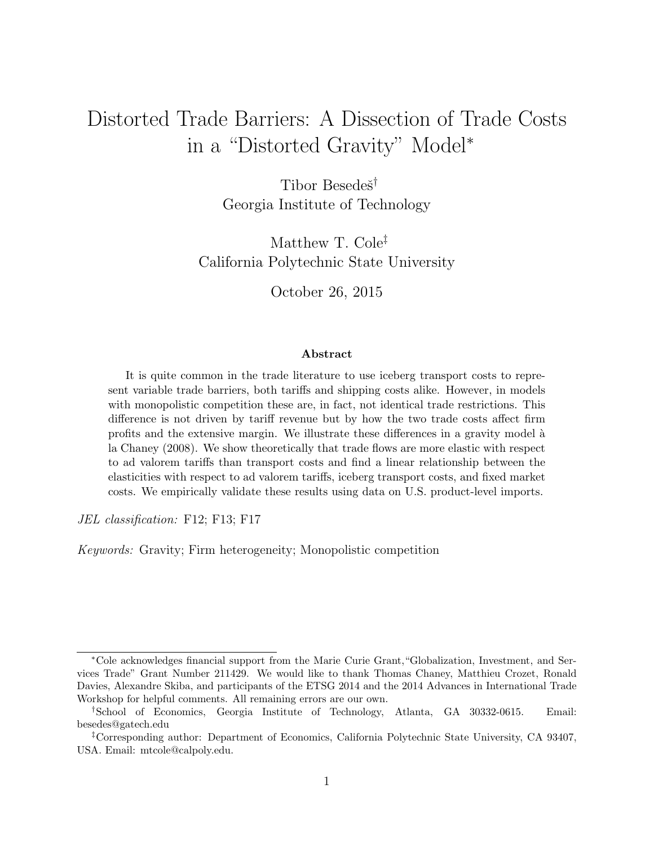# Distorted Trade Barriers: A Dissection of Trade Costs in a "Distorted Gravity" Model*<sup>∗</sup>*

Tibor Besedeš<sup>†</sup> Georgia Institute of Technology

Matthew T. Cole*‡* California Polytechnic State University

October 26, 2015

#### **Abstract**

It is quite common in the trade literature to use iceberg transport costs to represent variable trade barriers, both tariffs and shipping costs alike. However, in models with monopolistic competition these are, in fact, not identical trade restrictions. This difference is not driven by tariff revenue but by how the two trade costs affect firm profits and the extensive margin. We illustrate these differences in a gravity model à la Chaney (2008). We show theoretically that trade flows are more elastic with respect to ad valorem tariffs than transport costs and find a linear relationship between the elasticities with respect to ad valorem tariffs, iceberg transport costs, and fixed market costs. We empirically validate these results using data on U.S. product-level imports.

*JEL classification:* F12; F13; F17

*Keywords:* Gravity; Firm heterogeneity; Monopolistic competition

*<sup>∗</sup>*Cole acknowledges financial support from the Marie Curie Grant,"Globalization, Investment, and Services Trade" Grant Number 211429. We would like to thank Thomas Chaney, Matthieu Crozet, Ronald Davies, Alexandre Skiba, and participants of the ETSG 2014 and the 2014 Advances in International Trade Workshop for helpful comments. All remaining errors are our own.

*<sup>†</sup>*School of Economics, Georgia Institute of Technology, Atlanta, GA 30332-0615. Email: besedes@gatech.edu

*<sup>‡</sup>*Corresponding author: Department of Economics, California Polytechnic State University, CA 93407, USA. Email: mtcole@calpoly.edu.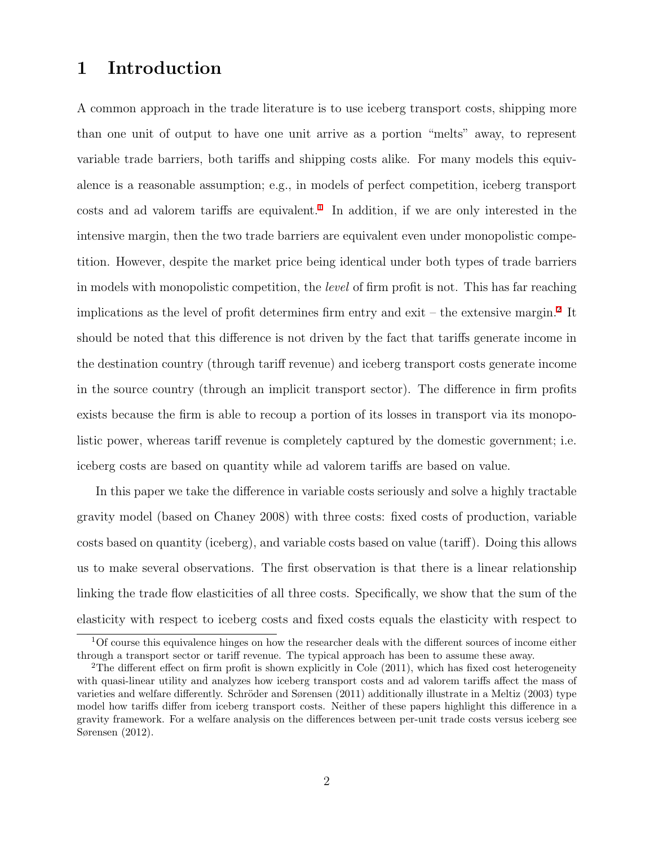## **1 Introduction**

A common approach in the trade literature is to use iceberg transport costs, shipping more than one unit of output to have one unit arrive as a portion "melts" away, to represent variable trade barriers, both tariffs and shipping costs alike. For many models this equivalence is a reasonable assumption; e.g., in models of perfect competition, iceberg transport  $\cos$ ts and ad valorem tariffs are equivalent.<sup>[1](#page-1-0)</sup> In addition, if we are only interested in the intensive margin, then the two trade barriers are equivalent even under monopolistic competition. However, despite the market price being identical under both types of trade barriers in models with monopolistic competition, the *level* of firm profit is not. This has far reaching implications as the level of profit determines firm entry and exit – the extensive margin.<sup>[2](#page-1-1)</sup> It should be noted that this difference is not driven by the fact that tariffs generate income in the destination country (through tariff revenue) and iceberg transport costs generate income in the source country (through an implicit transport sector). The difference in firm profits exists because the firm is able to recoup a portion of its losses in transport via its monopolistic power, whereas tariff revenue is completely captured by the domestic government; i.e. iceberg costs are based on quantity while ad valorem tariffs are based on value.

In this paper we take the difference in variable costs seriously and solve a highly tractable gravity model (based on Chaney 2008) with three costs: fixed costs of production, variable costs based on quantity (iceberg), and variable costs based on value (tariff). Doing this allows us to make several observations. The first observation is that there is a linear relationship linking the trade flow elasticities of all three costs. Specifically, we show that the sum of the elasticity with respect to iceberg costs and fixed costs equals the elasticity with respect to

<span id="page-1-0"></span><sup>&</sup>lt;sup>1</sup>Of course this equivalence hinges on how the researcher deals with the different sources of income either through a transport sector or tariff revenue. The typical approach has been to assume these away.

<span id="page-1-1"></span><sup>&</sup>lt;sup>2</sup>The different effect on firm profit is shown explicitly in Cole  $(2011)$ , which has fixed cost heterogeneity with quasi-linear utility and analyzes how iceberg transport costs and ad valorem tariffs affect the mass of varieties and welfare differently. Schröder and Sørensen (2011) additionally illustrate in a Meltiz (2003) type model how tariffs differ from iceberg transport costs. Neither of these papers highlight this difference in a gravity framework. For a welfare analysis on the differences between per-unit trade costs versus iceberg see Sørensen (2012).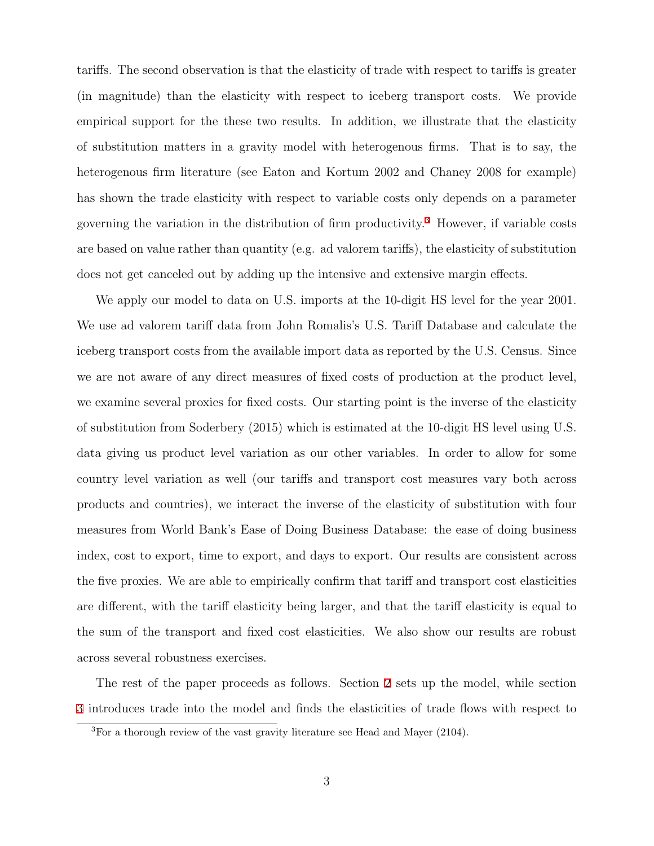tariffs. The second observation is that the elasticity of trade with respect to tariffs is greater (in magnitude) than the elasticity with respect to iceberg transport costs. We provide empirical support for the these two results. In addition, we illustrate that the elasticity of substitution matters in a gravity model with heterogenous firms. That is to say, the heterogenous firm literature (see Eaton and Kortum 2002 and Chaney 2008 for example) has shown the trade elasticity with respect to variable costs only depends on a parameter governing the variation in the distribution of firm productivity.<sup>[3](#page-2-0)</sup> However, if variable costs are based on value rather than quantity (e.g. ad valorem tariffs), the elasticity of substitution does not get canceled out by adding up the intensive and extensive margin effects.

We apply our model to data on U.S. imports at the 10-digit HS level for the year 2001. We use ad valorem tariff data from John Romalis's U.S. Tariff Database and calculate the iceberg transport costs from the available import data as reported by the U.S. Census. Since we are not aware of any direct measures of fixed costs of production at the product level, we examine several proxies for fixed costs. Our starting point is the inverse of the elasticity of substitution from Soderbery (2015) which is estimated at the 10-digit HS level using U.S. data giving us product level variation as our other variables. In order to allow for some country level variation as well (our tariffs and transport cost measures vary both across products and countries), we interact the inverse of the elasticity of substitution with four measures from World Bank's Ease of Doing Business Database: the ease of doing business index, cost to export, time to export, and days to export. Our results are consistent across the five proxies. We are able to empirically confirm that tariff and transport cost elasticities are different, with the tariff elasticity being larger, and that the tariff elasticity is equal to the sum of the transport and fixed cost elasticities. We also show our results are robust across several robustness exercises.

The rest of the paper proceeds as follows. Section [2](#page-3-0) sets up the model, while section [3](#page-8-0) introduces trade into the model and finds the elasticities of trade flows with respect to

<span id="page-2-0"></span><sup>3</sup>For a thorough review of the vast gravity literature see Head and Mayer (2104).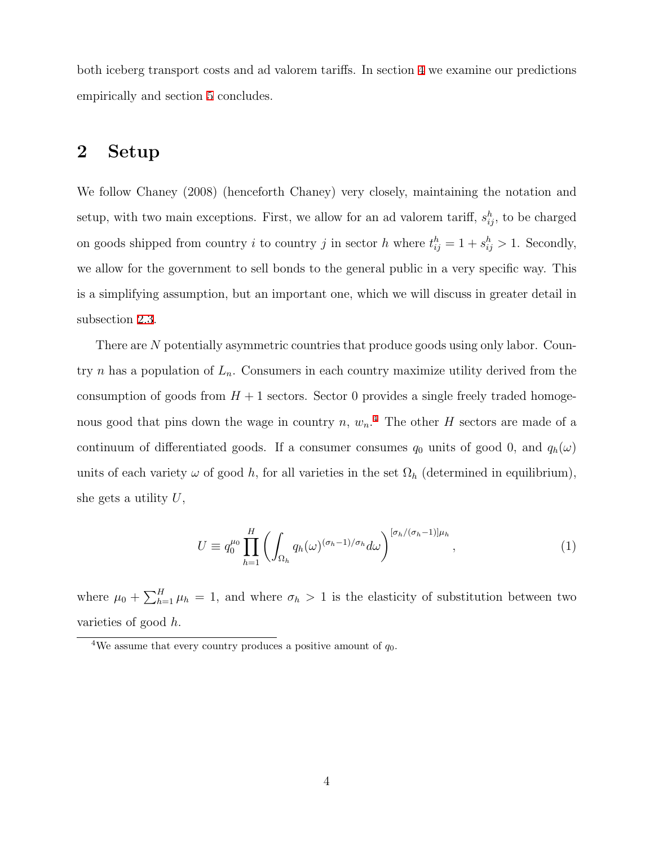both iceberg transport costs and ad valorem tariffs. In section [4](#page-12-0) we examine our predictions empirically and section [5](#page-20-0) concludes.

### <span id="page-3-0"></span>**2 Setup**

We follow Chaney (2008) (henceforth Chaney) very closely, maintaining the notation and setup, with two main exceptions. First, we allow for an ad valorem tariff,  $s_{ij}^h$ , to be charged on goods shipped from country *i* to country *j* in sector *h* where  $t_{ij}^h = 1 + s_{ij}^h > 1$ . Secondly, we allow for the government to sell bonds to the general public in a very specific way. This is a simplifying assumption, but an important one, which we will discuss in greater detail in subsection [2.3.](#page-6-0)

There are *N* potentially asymmetric countries that produce goods using only labor. Country *n* has a population of *Ln*. Consumers in each country maximize utility derived from the consumption of goods from  $H + 1$  sectors. Sector 0 provides a single freely traded homogenous good that pins down the wage in country  $n, w_n$ <sup>[4](#page-3-1)</sup>. The other *H* sectors are made of a continuum of differentiated goods. If a consumer consumes  $q_0$  units of good 0, and  $q_h(\omega)$ units of each variety  $\omega$  of good *h*, for all varieties in the set  $\Omega_h$  (determined in equilibrium), she gets a utility *U*,

$$
U \equiv q_0^{\mu_0} \prod_{h=1}^H \left( \int_{\Omega_h} q_h(\omega)^{(\sigma_h - 1)/\sigma_h} d\omega \right)^{[\sigma_h/(\sigma_h - 1)]\mu_h}, \qquad (1)
$$

where  $\mu_0 + \sum_{h=1}^H \mu_h = 1$ , and where  $\sigma_h > 1$  is the elasticity of substitution between two varieties of good *h*.

<span id="page-3-1"></span><sup>&</sup>lt;sup>4</sup>We assume that every country produces a positive amount of  $q_0$ .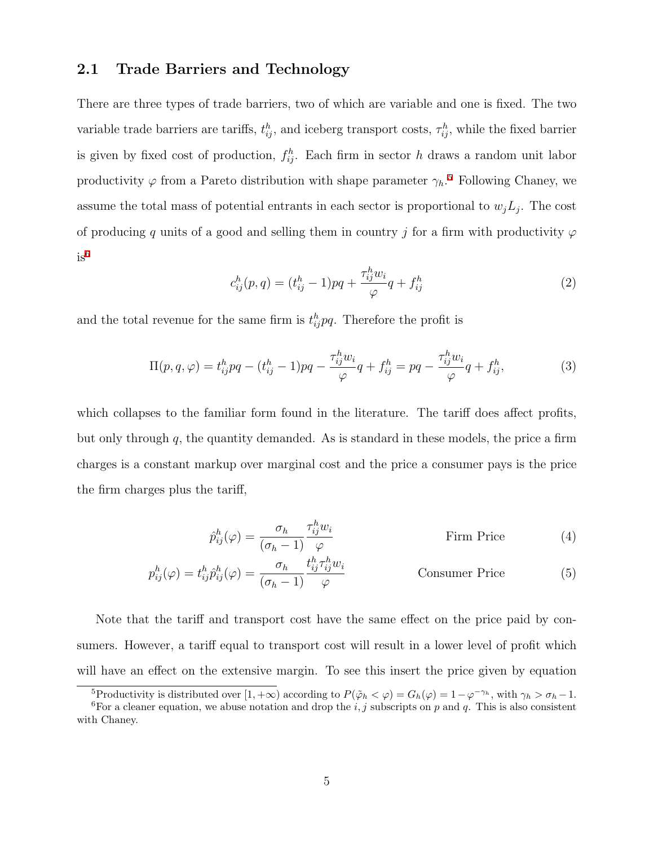### **2.1 Trade Barriers and Technology**

There are three types of trade barriers, two of which are variable and one is fixed. The two variable trade barriers are tariffs,  $t_{ij}^h$ , and iceberg transport costs,  $\tau_{ij}^h$ , while the fixed barrier is given by fixed cost of production,  $f_{ij}^h$ . Each firm in sector *h* draws a random unit labor productivity  $\varphi$  from a Pareto distribution with shape parameter  $\gamma_h$ <sup>[5](#page-4-0)</sup> Following Chaney, we assume the total mass of potential entrants in each sector is proportional to  $w_j L_j$ . The cost of producing *q* units of a good and selling them in country *j* for a firm with productivity  $\varphi$  $is<sup>6</sup>$  $is<sup>6</sup>$  $is<sup>6</sup>$ 

<span id="page-4-4"></span>
$$
c_{ij}^h(p,q) = (t_{ij}^h - 1)pq + \frac{\tau_{ij}^h w_i}{\varphi}q + f_{ij}^h
$$
 (2)

and the total revenue for the same firm is  $t_{ij}^h p q$ . Therefore the profit is

<span id="page-4-3"></span>
$$
\Pi(p,q,\varphi) = t_{ij}^h pq - (t_{ij}^h - 1)pq - \frac{\tau_{ij}^h w_i}{\varphi}q + f_{ij}^h = pq - \frac{\tau_{ij}^h w_i}{\varphi}q + f_{ij}^h,
$$
\n(3)

which collapses to the familiar form found in the literature. The tariff does affect profits, but only through *q*, the quantity demanded. As is standard in these models, the price a firm charges is a constant markup over marginal cost and the price a consumer pays is the price the firm charges plus the tariff,

<span id="page-4-2"></span>
$$
\hat{p}_{ij}^h(\varphi) = \frac{\sigma_h}{(\sigma_h - 1)} \frac{\tau_{ij}^h w_i}{\varphi} \qquad \qquad \text{Firm Price} \qquad (4)
$$

$$
p_{ij}^h(\varphi) = t_{ij}^h \hat{p}_{ij}^h(\varphi) = \frac{\sigma_h}{(\sigma_h - 1)} \frac{t_{ij}^h \tau_{ij}^h w_i}{\varphi}
$$
Consumer Price (5)

Note that the tariff and transport cost have the same effect on the price paid by consumers. However, a tariff equal to transport cost will result in a lower level of profit which will have an effect on the extensive margin. To see this insert the price given by equation

<span id="page-4-1"></span><span id="page-4-0"></span><sup>&</sup>lt;sup>5</sup>Productivity is distributed over  $[1, +\infty)$  according to  $P(\tilde{\varphi}_h < \varphi) = G_h(\varphi) = 1 - \varphi^{-\gamma_h}$ , with  $\gamma_h > \sigma_h - 1$ .

<sup>&</sup>lt;sup>6</sup>For a cleaner equation, we abuse notation and drop the  $i, j$  subscripts on  $p$  and  $q$ . This is also consistent with Chaney.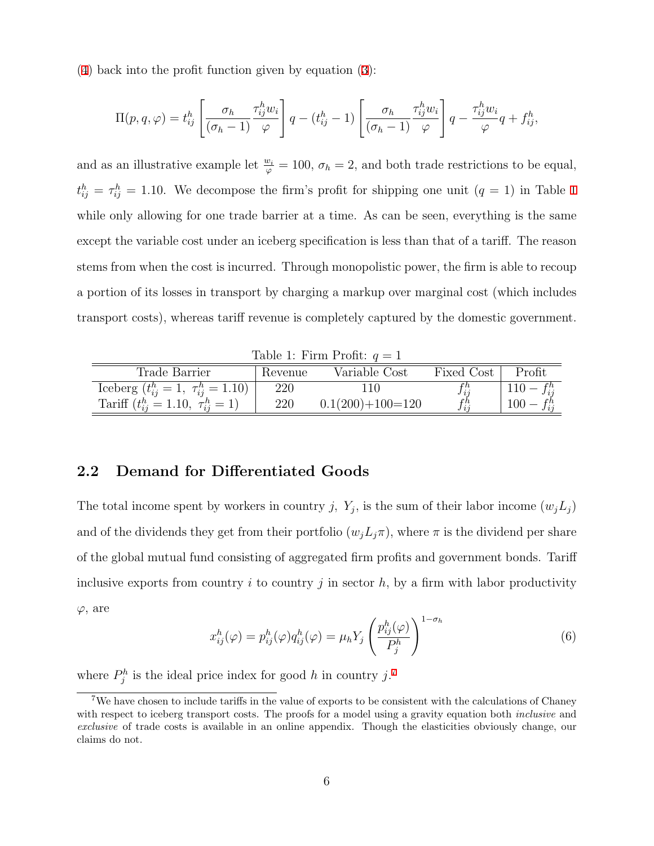([4](#page-4-2)) back into the profit function given by equation ([3\)](#page-4-3):

$$
\Pi(p,q,\varphi) = t_{ij}^h \left[ \frac{\sigma_h}{(\sigma_h - 1)} \frac{\tau_{ij}^h w_i}{\varphi} \right] q - (t_{ij}^h - 1) \left[ \frac{\sigma_h}{(\sigma_h - 1)} \frac{\tau_{ij}^h w_i}{\varphi} \right] q - \frac{\tau_{ij}^h w_i}{\varphi} q + f_{ij}^h,
$$

and as an illustrative example let  $\frac{w_i}{\varphi} = 100$ ,  $\sigma_h = 2$ , and both trade restrictions to be equal,  $t_{ij}^h = \tau_{ij}^h = 1.10$  $t_{ij}^h = \tau_{ij}^h = 1.10$  $t_{ij}^h = \tau_{ij}^h = 1.10$ . We decompose the firm's profit for shipping one unit  $(q = 1)$  in Table 1 while only allowing for one trade barrier at a time. As can be seen, everything is the same except the variable cost under an iceberg specification is less than that of a tariff. The reason stems from when the cost is incurred. Through monopolistic power, the firm is able to recoup a portion of its losses in transport by charging a markup over marginal cost (which includes transport costs), whereas tariff revenue is completely captured by the domestic government.

<span id="page-5-0"></span>

| Table 1: Firm Profit: $q = 1$ |  |  |  |
|-------------------------------|--|--|--|
|-------------------------------|--|--|--|

| Trade Barrier                                | Kevenue | Variable Cost          | Fixed Cost | Profit |
|----------------------------------------------|---------|------------------------|------------|--------|
| Iceberg $(t_{ii}^h = 1, \tau_{ii}^h = 1.10)$ | 220     |                        | $f_{ij}^h$ |        |
| Tariff $(t_{ii}^h = 1.10, \tau_{ii}^h = 1)$  | 220     | $0.1(200) + 100 = 120$ | $f_{ii}^h$ | 100    |

### **2.2 Demand for Differentiated Goods**

The total income spent by workers in country *j*,  $Y_j$ , is the sum of their labor income  $(w_j L_j)$ and of the dividends they get from their portfolio  $(w_j L_j \pi)$ , where  $\pi$  is the dividend per share of the global mutual fund consisting of aggregated firm profits and government bonds. Tariff inclusive exports from country  $i$  to country  $j$  in sector  $h$ , by a firm with labor productivity *φ*, are

$$
x_{ij}^h(\varphi) = p_{ij}^h(\varphi)q_{ij}^h(\varphi) = \mu_h Y_j \left(\frac{p_{ij}^h(\varphi)}{P_j^h}\right)^{1-\sigma_h}
$$
\n(6)

where  $P_j^h$  is the ideal price index for good *h* in country  $j$ .<sup>[7](#page-5-1)</sup>

<span id="page-5-1"></span><sup>7</sup>We have chosen to include tariffs in the value of exports to be consistent with the calculations of Chaney with respect to iceberg transport costs. The proofs for a model using a gravity equation both *inclusive* and *exclusive* of trade costs is available in an online appendix. Though the elasticities obviously change, our claims do not.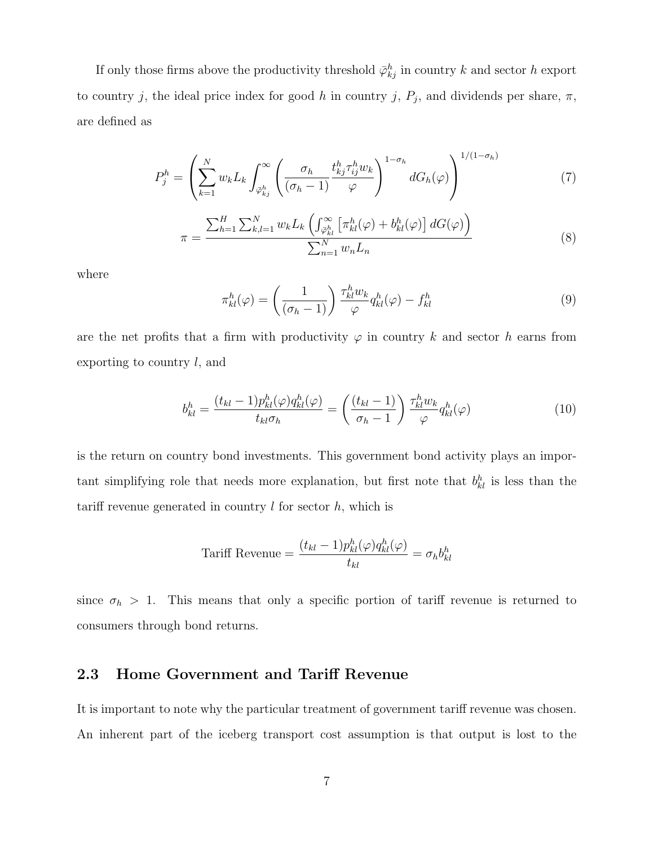If only those firms above the productivity threshold  $\bar{\varphi}_{kj}^h$  in country *k* and sector *h* export to country *j*, the ideal price index for good *h* in country *j*,  $P_j$ , and dividends per share,  $\pi$ , are defined as

$$
P_j^h = \left(\sum_{k=1}^N w_k L_k \int_{\bar{\varphi}_{kj}^h}^{\infty} \left(\frac{\sigma_h}{(\sigma_h - 1)} \frac{t_{kj}^h \tau_{ij}^h w_k}{\varphi}\right)^{1 - \sigma_h} dG_h(\varphi)\right)^{1/(1 - \sigma_h)}
$$
(7)

$$
\pi = \frac{\sum_{h=1}^{H} \sum_{k,l=1}^{N} w_k L_k \left( \int_{\bar{\varphi}_{kl}}^{\infty} \left[ \pi_{kl}^h(\varphi) + b_{kl}^h(\varphi) \right] dG(\varphi) \right)}{\sum_{n=1}^{N} w_n L_n} \tag{8}
$$

where

<span id="page-6-2"></span>
$$
\pi_{kl}^h(\varphi) = \left(\frac{1}{(\sigma_h - 1)}\right) \frac{\tau_{kl}^h w_k}{\varphi} q_{kl}^h(\varphi) - f_{kl}^h \tag{9}
$$

are the net profits that a firm with productivity  $\varphi$  in country k and sector h earns from exporting to country *l*, and

<span id="page-6-1"></span>
$$
b_{kl}^h = \frac{(t_{kl} - 1)p_{kl}^h(\varphi)q_{kl}^h(\varphi)}{t_{kl}\sigma_h} = \left(\frac{(t_{kl} - 1)}{\sigma_h - 1}\right)\frac{\tau_{kl}^h w_k}{\varphi}q_{kl}^h(\varphi)
$$
(10)

is the return on country bond investments. This government bond activity plays an important simplifying role that needs more explanation, but first note that  $b_{kl}^h$  is less than the tariff revenue generated in country *l* for sector *h*, which is

Tariff Revenue = 
$$
\frac{(t_{kl} - 1)p_{kl}^h(\varphi)q_{kl}^h(\varphi)}{t_{kl}} = \sigma_h b_{kl}^h
$$

since  $\sigma_h$  > 1. This means that only a specific portion of tariff revenue is returned to consumers through bond returns.

### <span id="page-6-0"></span>**2.3 Home Government and Tariff Revenue**

It is important to note why the particular treatment of government tariff revenue was chosen. An inherent part of the iceberg transport cost assumption is that output is lost to the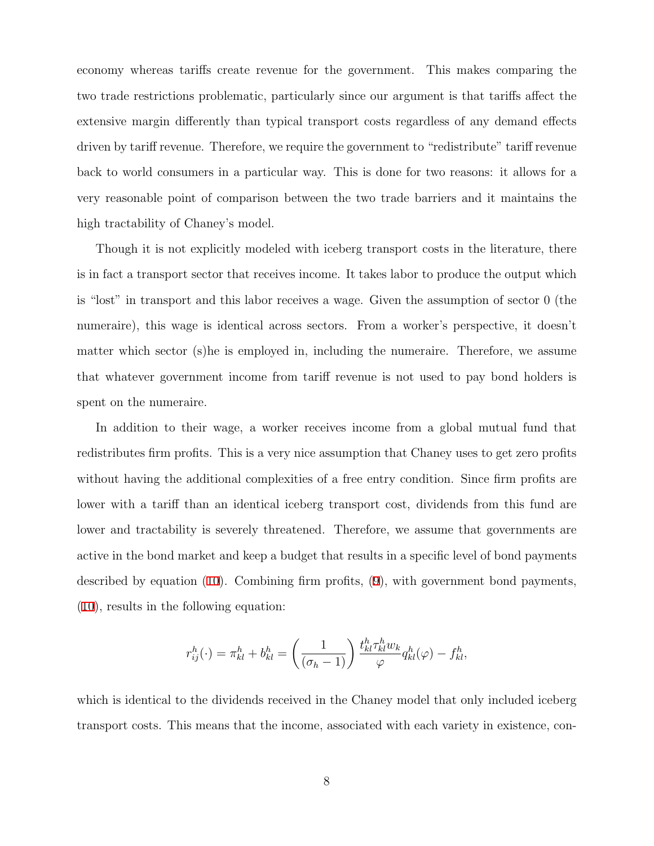economy whereas tariffs create revenue for the government. This makes comparing the two trade restrictions problematic, particularly since our argument is that tariffs affect the extensive margin differently than typical transport costs regardless of any demand effects driven by tariff revenue. Therefore, we require the government to "redistribute" tariff revenue back to world consumers in a particular way. This is done for two reasons: it allows for a very reasonable point of comparison between the two trade barriers and it maintains the high tractability of Chaney's model.

Though it is not explicitly modeled with iceberg transport costs in the literature, there is in fact a transport sector that receives income. It takes labor to produce the output which is "lost" in transport and this labor receives a wage. Given the assumption of sector 0 (the numeraire), this wage is identical across sectors. From a worker's perspective, it doesn't matter which sector (s)he is employed in, including the numeraire. Therefore, we assume that whatever government income from tariff revenue is not used to pay bond holders is spent on the numeraire.

In addition to their wage, a worker receives income from a global mutual fund that redistributes firm profits. This is a very nice assumption that Chaney uses to get zero profits without having the additional complexities of a free entry condition. Since firm profits are lower with a tariff than an identical iceberg transport cost, dividends from this fund are lower and tractability is severely threatened. Therefore, we assume that governments are active in the bond market and keep a budget that results in a specific level of bond payments described by equation ([10](#page-6-1)). Combining firm profits, ([9](#page-6-2)), with government bond payments, ([10](#page-6-1)), results in the following equation:

$$
r_{ij}^h(\cdot) = \pi_{kl}^h + b_{kl}^h = \left(\frac{1}{(\sigma_h - 1)}\right) \frac{t_{kl}^h \tau_{kl}^h w_k}{\varphi} q_{kl}^h(\varphi) - f_{kl}^h,
$$

which is identical to the dividends received in the Chaney model that only included iceberg transport costs. This means that the income, associated with each variety in existence, con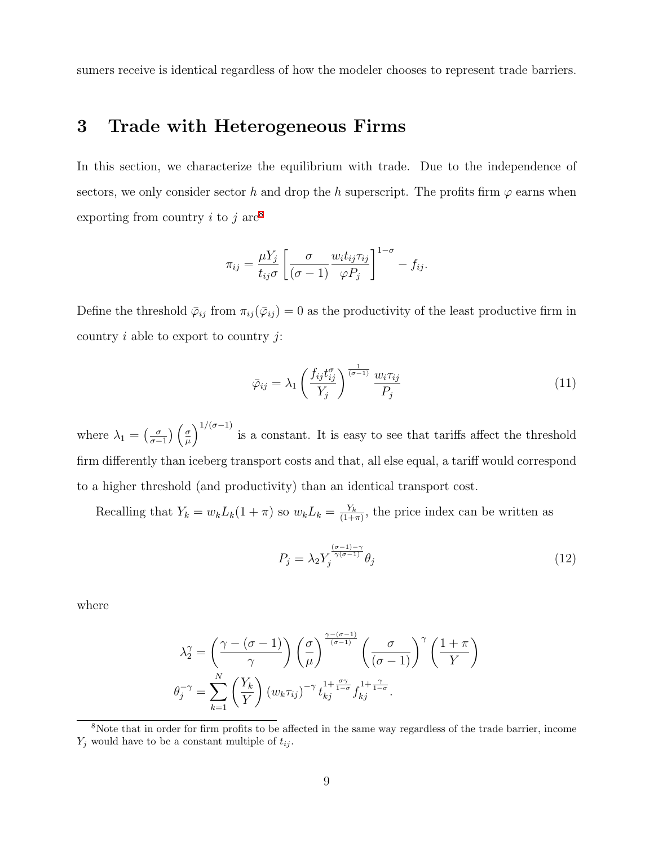sumers receive is identical regardless of how the modeler chooses to represent trade barriers.

## <span id="page-8-0"></span>**3 Trade with Heterogeneous Firms**

In this section, we characterize the equilibrium with trade. Due to the independence of sectors, we only consider sector *h* and drop the *h* superscript. The profits firm  $\varphi$  earns when exporting from country  $i$  to  $j$  are<sup>[8](#page-8-1)</sup>

$$
\pi_{ij} = \frac{\mu Y_j}{t_{ij}\sigma} \left[ \frac{\sigma}{(\sigma - 1)} \frac{w_i t_{ij} \tau_{ij}}{\varphi P_j} \right]^{1-\sigma} - f_{ij}.
$$

Define the threshold  $\bar{\varphi}_{ij}$  from  $\pi_{ij}(\bar{\varphi}_{ij}) = 0$  as the productivity of the least productive firm in country *i* able to export to country *j*:

<span id="page-8-3"></span>
$$
\bar{\varphi}_{ij} = \lambda_1 \left(\frac{f_{ij} t_{ij}^{\sigma}}{Y_j}\right)^{\frac{1}{(\sigma-1)}} \frac{w_i \tau_{ij}}{P_j} \tag{11}
$$

where  $\lambda_1 = \left(\frac{\sigma}{\sigma - 1}\right)$  $\left(\frac{\sigma}{\sigma-1}\right)\left(\frac{\sigma}{\mu}\right)$  $\frac{\sigma}{\mu}$ <sup>1/(*σ*−1)</sup> is a constant. It is easy to see that tariffs affect the threshold firm differently than iceberg transport costs and that, all else equal, a tariff would correspond to a higher threshold (and productivity) than an identical transport cost.

Recalling that  $Y_k = w_k L_k(1 + \pi)$  so  $w_k L_k = \frac{Y_k}{(1 + \pi)^k}$  $\frac{Y_k}{(1+\pi)}$ , the price index can be written as

<span id="page-8-2"></span>
$$
P_j = \lambda_2 Y_j^{\frac{(\sigma-1)-\gamma}{\gamma(\sigma-1)}} \theta_j \tag{12}
$$

where

$$
\lambda_2^{\gamma} = \left(\frac{\gamma - (\sigma - 1)}{\gamma}\right) \left(\frac{\sigma}{\mu}\right)^{\frac{\gamma - (\sigma - 1)}{(\sigma - 1)}} \left(\frac{\sigma}{(\sigma - 1)}\right)^{\gamma} \left(\frac{1 + \pi}{Y}\right)
$$

$$
\theta_j^{-\gamma} = \sum_{k=1}^N \left(\frac{Y_k}{Y}\right) (w_k \tau_{ij})^{-\gamma} t_{kj}^{1 + \frac{\sigma \gamma}{1 - \sigma}} f_{kj}^{1 + \frac{\gamma}{1 - \sigma}}.
$$

<span id="page-8-1"></span><sup>&</sup>lt;sup>8</sup>Note that in order for firm profits to be affected in the same way regardless of the trade barrier, income  $Y_j$  would have to be a constant multiple of  $t_{ij}$ .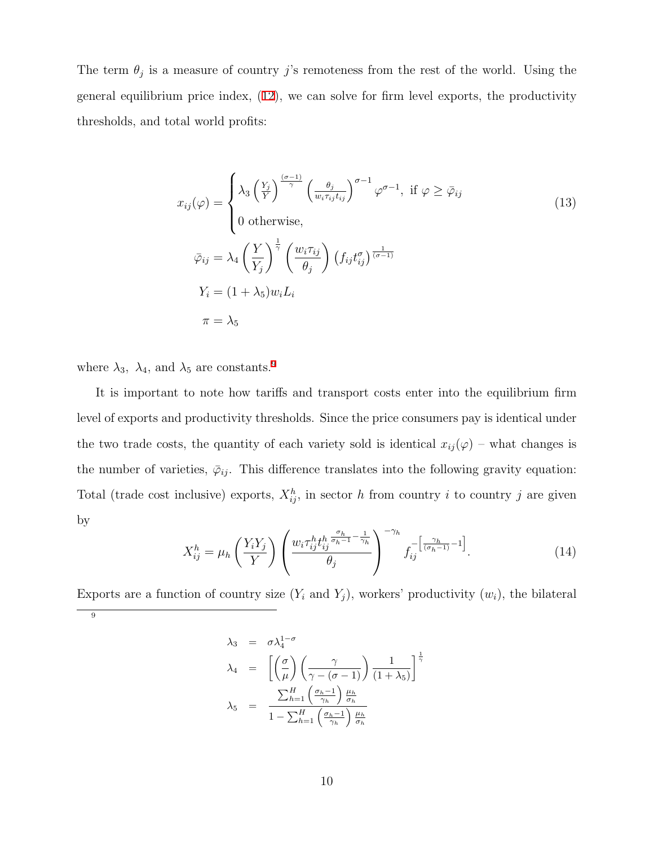The term  $\theta_j$  is a measure of country *j*'s remoteness from the rest of the world. Using the general equilibrium price index, [\(12\)](#page-8-2), we can solve for firm level exports, the productivity thresholds, and total world profits:

$$
x_{ij}(\varphi) = \begin{cases} \lambda_3 \left(\frac{Y_j}{Y}\right)^{\frac{(\sigma-1)}{\gamma}} \left(\frac{\theta_j}{w_i \tau_{ij} t_{ij}}\right)^{\sigma-1} \varphi^{\sigma-1}, & \text{if } \varphi \ge \bar{\varphi}_{ij} \\ 0 & \text{otherwise,} \end{cases}
$$
\n
$$
\bar{\varphi}_{ij} = \lambda_4 \left(\frac{Y}{Y_j}\right)^{\frac{1}{\gamma}} \left(\frac{w_i \tau_{ij}}{\theta_j}\right) \left(f_{ij} t_{ij}^{\sigma}\right)^{\frac{1}{(\sigma-1)}}
$$
\n
$$
Y_i = (1 + \lambda_5) w_i L_i
$$
\n
$$
\pi = \lambda_5
$$
\n(13)

where  $\lambda_3$ ,  $\lambda_4$ , and  $\lambda_5$  are constants.<sup>[9](#page-9-0)</sup>

<span id="page-9-0"></span>9

It is important to note how tariffs and transport costs enter into the equilibrium firm level of exports and productivity thresholds. Since the price consumers pay is identical under the two trade costs, the quantity of each variety sold is identical  $x_{ij}(\varphi)$  – what changes is the number of varieties,  $\bar{\varphi}_{ij}$ . This difference translates into the following gravity equation: Total (trade cost inclusive) exports,  $X_{ij}^h$ , in sector *h* from country *i* to country *j* are given by  $\overline{1}$ 

<span id="page-9-1"></span>
$$
X_{ij}^h = \mu_h \left(\frac{Y_i Y_j}{Y}\right) \left(\frac{w_i \tau_{ij}^h t_i^h \frac{\sigma_h}{\sigma_h - 1} - \frac{1}{\gamma_h}}{\theta_j}\right)^{-\gamma_h} f_{ij}^{-\left[\frac{\gamma_h}{(\sigma_h - 1)} - 1\right]}.
$$
 (14)

Exports are a function of country size  $(Y_i \text{ and } Y_j)$ , workers' productivity  $(w_i)$ , the bilateral

$$
\lambda_3 = \sigma \lambda_4^{1-\sigma}
$$
\n
$$
\lambda_4 = \left[ \left( \frac{\sigma}{\mu} \right) \left( \frac{\gamma}{\gamma - (\sigma - 1)} \right) \frac{1}{(1 + \lambda_5)} \right]^{\frac{1}{\gamma}}
$$
\n
$$
\lambda_5 = \frac{\sum_{h=1}^H \left( \frac{\sigma_h - 1}{\gamma_h} \right) \frac{\mu_h}{\sigma_h}}{1 - \sum_{h=1}^H \left( \frac{\sigma_h - 1}{\gamma_h} \right) \frac{\mu_h}{\sigma_h}}
$$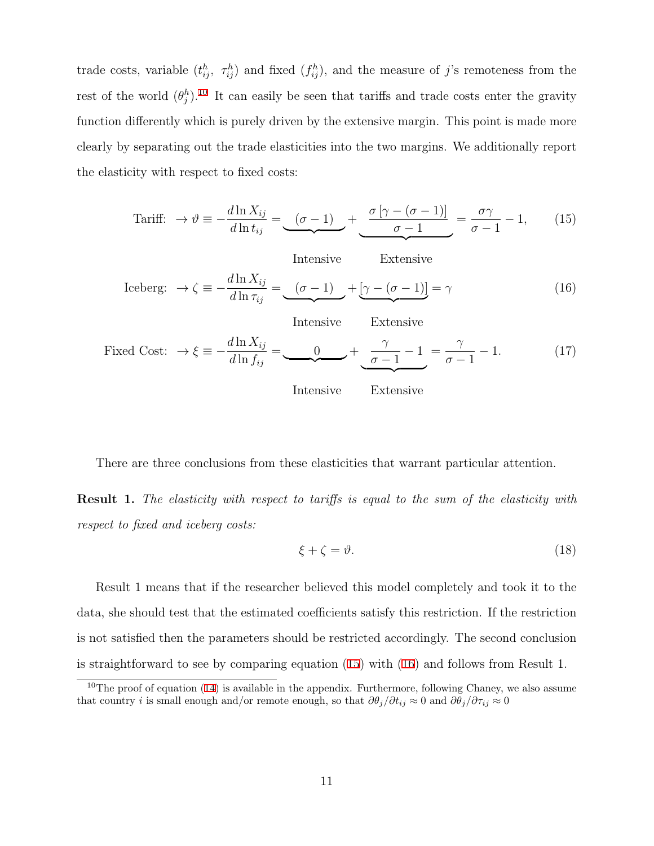trade costs, variable  $(t_{ij}^h, \tau_{ij}^h)$  and fixed  $(f_{ij}^h)$ , and the measure of *j*'s remoteness from the rest of the world  $(\theta_j^h)$ .<sup>[10](#page-10-0)</sup> It can easily be seen that tariffs and trade costs enter the gravity function differently which is purely driven by the extensive margin. This point is made more clearly by separating out the trade elasticities into the two margins. We additionally report the elasticity with respect to fixed costs:

Tariff: 
$$
\rightarrow \vartheta \equiv -\frac{d \ln X_{ij}}{d \ln t_{ij}} = \underbrace{(\sigma - 1)}_{\text{max}} + \underbrace{\frac{\sigma [\gamma - (\sigma - 1)]}{\sigma - 1}}_{\text{max}} = \frac{\sigma \gamma}{\sigma - 1} - 1, \quad (15)
$$

<span id="page-10-2"></span><span id="page-10-1"></span>Intensive Extensive

Iceberg: 
$$
\rightarrow \zeta \equiv -\frac{d \ln X_{ij}}{d \ln \tau_{ij}} = \underbrace{(\sigma - 1)}_{\text{max}} + \underbrace{[\gamma - (\sigma - 1)]}_{\text{max}} = \gamma
$$
 (16)

$$
\text{Fixed Cost: } \rightarrow \xi \equiv -\frac{d \ln X_{ij}}{d \ln f_{ij}} = \underbrace{0}_{\text{other}} + \underbrace{\frac{\gamma}{\sigma - 1} - 1}_{\text{other}} = \frac{\gamma}{\sigma - 1} - 1. \tag{17}
$$

Intensive Extensive

There are three conclusions from these elasticities that warrant particular attention.

**Result 1.** *The elasticity with respect to tariffs is equal to the sum of the elasticity with respect to fixed and iceberg costs:*

<span id="page-10-3"></span>
$$
\xi + \zeta = \vartheta. \tag{18}
$$

Result 1 means that if the researcher believed this model completely and took it to the data, she should test that the estimated coefficients satisfy this restriction. If the restriction is not satisfied then the parameters should be restricted accordingly. The second conclusion is straightforward to see by comparing equation ([15\)](#page-10-1) with ([16](#page-10-2)) and follows from Result 1.

<span id="page-10-0"></span> $10$ The proof of equation ([14](#page-9-1)) is available in the appendix. Furthermore, following Chaney, we also assume that country *i* is small enough and/or remote enough, so that  $\partial \theta_j / \partial t_{ij} \approx 0$  and  $\partial \theta_j / \partial \tau_{ij} \approx 0$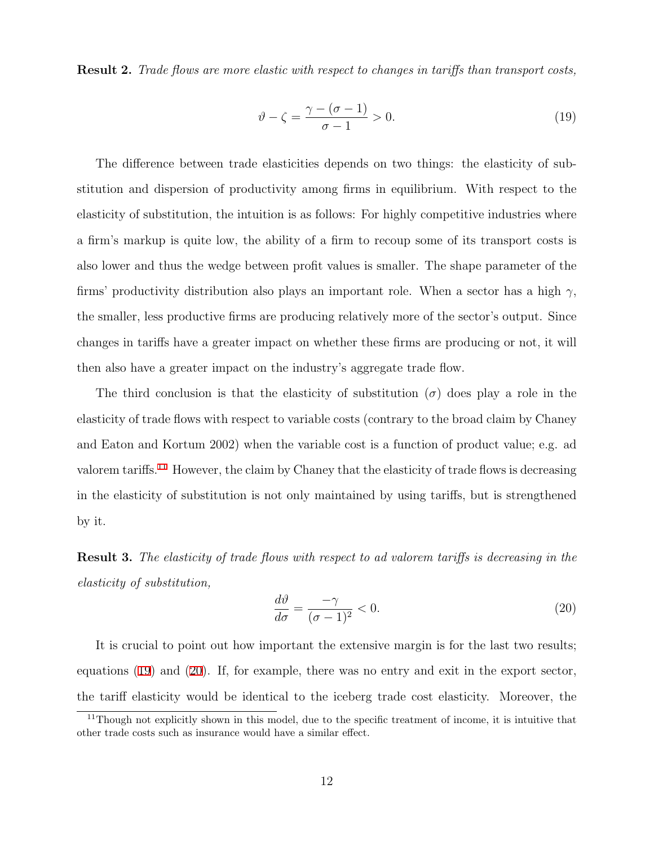**Result 2.** *Trade flows are more elastic with respect to changes in tariffs than transport costs,*

<span id="page-11-1"></span>
$$
\vartheta - \zeta = \frac{\gamma - (\sigma - 1)}{\sigma - 1} > 0.
$$
\n(19)

The difference between trade elasticities depends on two things: the elasticity of substitution and dispersion of productivity among firms in equilibrium. With respect to the elasticity of substitution, the intuition is as follows: For highly competitive industries where a firm's markup is quite low, the ability of a firm to recoup some of its transport costs is also lower and thus the wedge between profit values is smaller. The shape parameter of the firms' productivity distribution also plays an important role. When a sector has a high *γ*, the smaller, less productive firms are producing relatively more of the sector's output. Since changes in tariffs have a greater impact on whether these firms are producing or not, it will then also have a greater impact on the industry's aggregate trade flow.

The third conclusion is that the elasticity of substitution  $(\sigma)$  does play a role in the elasticity of trade flows with respect to variable costs (contrary to the broad claim by Chaney and Eaton and Kortum 2002) when the variable cost is a function of product value; e.g. ad valorem tariffs.[11](#page-11-0) However, the claim by Chaney that the elasticity of trade flows is decreasing in the elasticity of substitution is not only maintained by using tariffs, but is strengthened by it.

**Result 3.** *The elasticity of trade flows with respect to ad valorem tariffs is decreasing in the elasticity of substitution,*

<span id="page-11-2"></span>
$$
\frac{d\vartheta}{d\sigma} = \frac{-\gamma}{(\sigma - 1)^2} < 0. \tag{20}
$$

It is crucial to point out how important the extensive margin is for the last two results; equations [\(19](#page-11-1)) and ([20](#page-11-2)). If, for example, there was no entry and exit in the export sector, the tariff elasticity would be identical to the iceberg trade cost elasticity. Moreover, the

<span id="page-11-0"></span><sup>&</sup>lt;sup>11</sup>Though not explicitly shown in this model, due to the specific treatment of income, it is intuitive that other trade costs such as insurance would have a similar effect.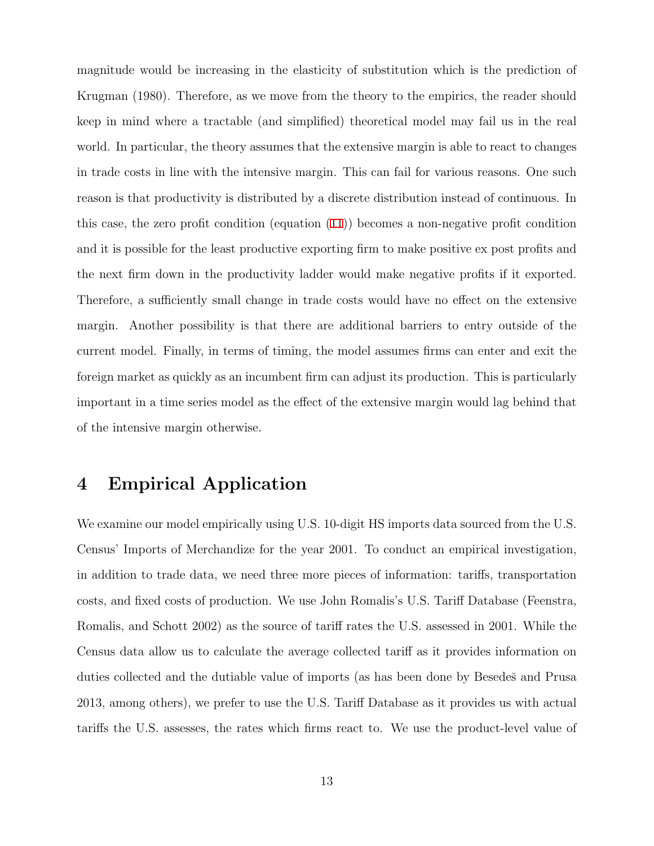magnitude would be increasing in the elasticity of substitution which is the prediction of Krugman (1980). Therefore, as we move from the theory to the empirics, the reader should keep in mind where a tractable (and simplified) theoretical model may fail us in the real world. In particular, the theory assumes that the extensive margin is able to react to changes in trade costs in line with the intensive margin. This can fail for various reasons. One such reason is that productivity is distributed by a discrete distribution instead of continuous. In this case, the zero profit condition (equation ([11](#page-8-3))) becomes a non-negative profit condition and it is possible for the least productive exporting firm to make positive ex post profits and the next firm down in the productivity ladder would make negative profits if it exported. Therefore, a sufficiently small change in trade costs would have no effect on the extensive margin. Another possibility is that there are additional barriers to entry outside of the current model. Finally, in terms of timing, the model assumes firms can enter and exit the foreign market as quickly as an incumbent firm can adjust its production. This is particularly important in a time series model as the effect of the extensive margin would lag behind that of the intensive margin otherwise.

## <span id="page-12-0"></span>**4 Empirical Application**

We examine our model empirically using U.S. 10-digit HS imports data sourced from the U.S. Census' Imports of Merchandize for the year 2001. To conduct an empirical investigation, in addition to trade data, we need three more pieces of information: tariffs, transportation costs, and fixed costs of production. We use John Romalis's U.S. Tariff Database (Feenstra, Romalis, and Schott 2002) as the source of tariff rates the U.S. assessed in 2001. While the Census data allow us to calculate the average collected tariff as it provides information on duties collected and the dutiable value of imports (as has been done by Besedes and Prusa 2013, among others), we prefer to use the U.S. Tariff Database as it provides us with actual tariffs the U.S. assesses, the rates which firms react to. We use the product-level value of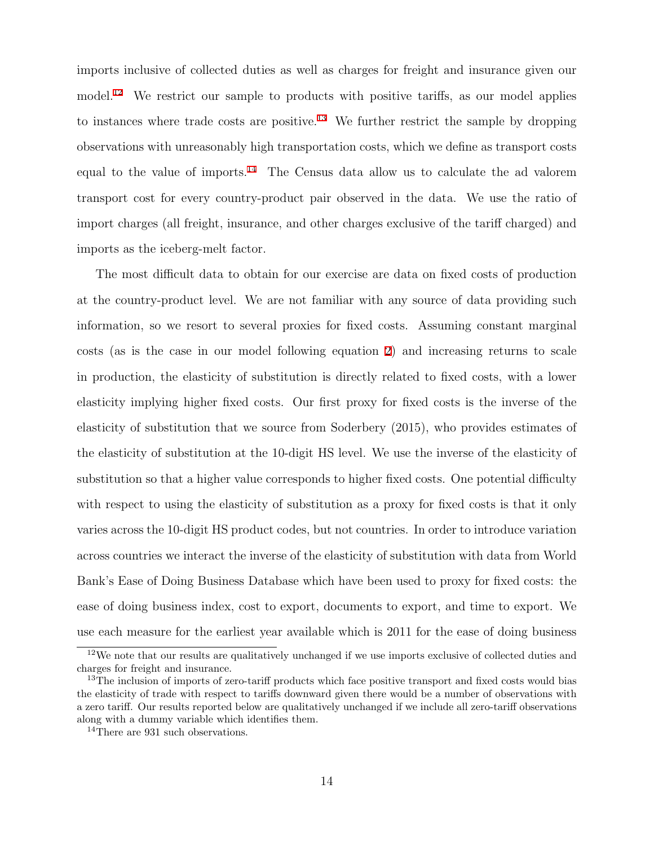imports inclusive of collected duties as well as charges for freight and insurance given our model.<sup>[12](#page-13-0)</sup> We restrict our sample to products with positive tariffs, as our model applies to instances where trade costs are positive.<sup>[13](#page-13-1)</sup> We further restrict the sample by dropping observations with unreasonably high transportation costs, which we define as transport costs equal to the value of imports.<sup>[14](#page-13-2)</sup> The Census data allow us to calculate the ad valorem transport cost for every country-product pair observed in the data. We use the ratio of import charges (all freight, insurance, and other charges exclusive of the tariff charged) and imports as the iceberg-melt factor.

The most difficult data to obtain for our exercise are data on fixed costs of production at the country-product level. We are not familiar with any source of data providing such information, so we resort to several proxies for fixed costs. Assuming constant marginal costs (as is the case in our model following equation [2](#page-4-4)) and increasing returns to scale in production, the elasticity of substitution is directly related to fixed costs, with a lower elasticity implying higher fixed costs. Our first proxy for fixed costs is the inverse of the elasticity of substitution that we source from Soderbery (2015), who provides estimates of the elasticity of substitution at the 10-digit HS level. We use the inverse of the elasticity of substitution so that a higher value corresponds to higher fixed costs. One potential difficulty with respect to using the elasticity of substitution as a proxy for fixed costs is that it only varies across the 10-digit HS product codes, but not countries. In order to introduce variation across countries we interact the inverse of the elasticity of substitution with data from World Bank's Ease of Doing Business Database which have been used to proxy for fixed costs: the ease of doing business index, cost to export, documents to export, and time to export. We use each measure for the earliest year available which is 2011 for the ease of doing business

<span id="page-13-0"></span><sup>&</sup>lt;sup>12</sup>We note that our results are qualitatively unchanged if we use imports exclusive of collected duties and charges for freight and insurance.

<span id="page-13-1"></span><sup>&</sup>lt;sup>13</sup>The inclusion of imports of zero-tariff products which face positive transport and fixed costs would bias the elasticity of trade with respect to tariffs downward given there would be a number of observations with a zero tariff. Our results reported below are qualitatively unchanged if we include all zero-tariff observations along with a dummy variable which identifies them.

<span id="page-13-2"></span><sup>&</sup>lt;sup>14</sup>There are 931 such observations.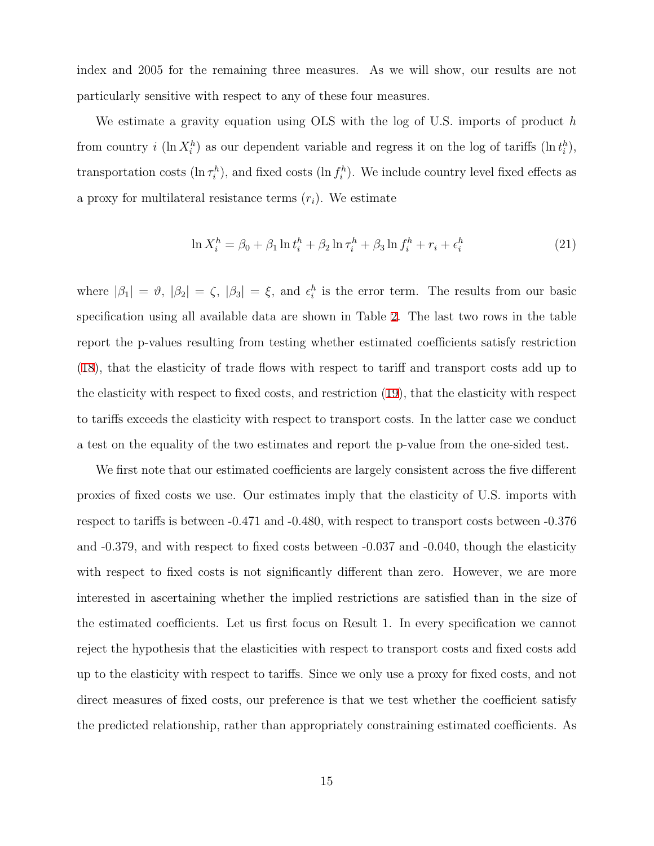index and 2005 for the remaining three measures. As we will show, our results are not particularly sensitive with respect to any of these four measures.

We estimate a gravity equation using OLS with the log of U.S. imports of product *h* from country *i* (ln  $X_i^h$ ) as our dependent variable and regress it on the log of tariffs (ln  $t_i^h$ ), transportation costs  $(\ln \tau_i^h)$ , and fixed costs  $(\ln f_i^h)$ . We include country level fixed effects as a proxy for multilateral resistance terms  $(r_i)$ . We estimate

$$
\ln X_i^h = \beta_0 + \beta_1 \ln t_i^h + \beta_2 \ln \tau_i^h + \beta_3 \ln f_i^h + r_i + \epsilon_i^h \tag{21}
$$

where  $|\beta_1| = \vartheta$ ,  $|\beta_2| = \zeta$ ,  $|\beta_3| = \xi$ , and  $\epsilon_i^h$  is the error term. The results from our basic specification using all available data are shown in Table [2](#page-15-0). The last two rows in the table report the p-values resulting from testing whether estimated coefficients satisfy restriction ([18](#page-10-3)), that the elasticity of trade flows with respect to tariff and transport costs add up to the elasticity with respect to fixed costs, and restriction [\(19](#page-11-1)), that the elasticity with respect to tariffs exceeds the elasticity with respect to transport costs. In the latter case we conduct a test on the equality of the two estimates and report the p-value from the one-sided test.

We first note that our estimated coefficients are largely consistent across the five different proxies of fixed costs we use. Our estimates imply that the elasticity of U.S. imports with respect to tariffs is between -0.471 and -0.480, with respect to transport costs between -0.376 and -0.379, and with respect to fixed costs between -0.037 and -0.040, though the elasticity with respect to fixed costs is not significantly different than zero. However, we are more interested in ascertaining whether the implied restrictions are satisfied than in the size of the estimated coefficients. Let us first focus on Result 1. In every specification we cannot reject the hypothesis that the elasticities with respect to transport costs and fixed costs add up to the elasticity with respect to tariffs. Since we only use a proxy for fixed costs, and not direct measures of fixed costs, our preference is that we test whether the coefficient satisfy the predicted relationship, rather than appropriately constraining estimated coefficients. As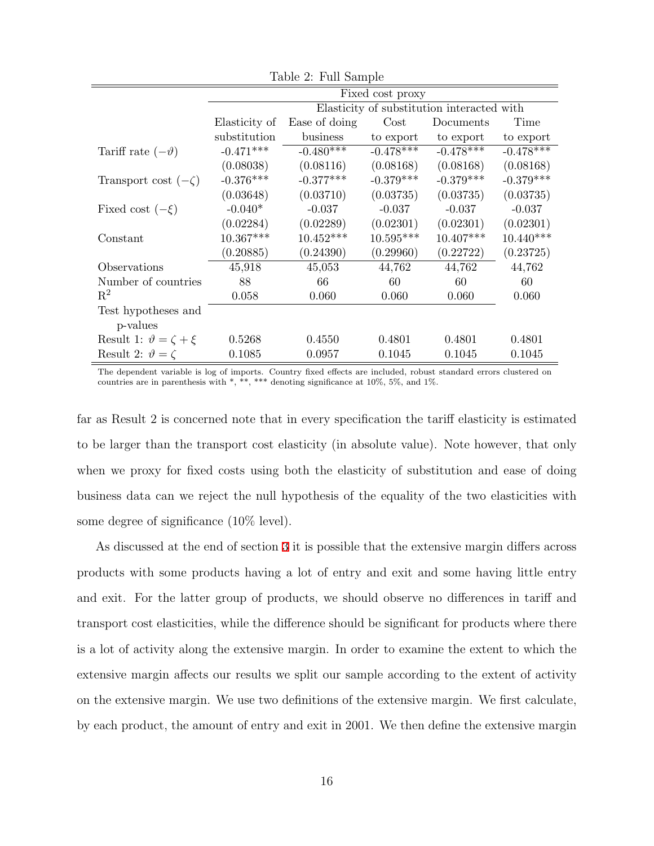|                                     | Fixed cost proxy |                                            |             |             |             |  |
|-------------------------------------|------------------|--------------------------------------------|-------------|-------------|-------------|--|
|                                     |                  | Elasticity of substitution interacted with |             |             |             |  |
|                                     | Elasticity of    | Ease of doing                              | $\cos t$    | Documents   | Time        |  |
|                                     | substitution     | business                                   | to export   | to export   | to export   |  |
| Tariff rate $(-\vartheta)$          | $-0.471***$      | $-0.480***$                                | $-0.478***$ | $-0.478***$ | $-0.478***$ |  |
|                                     | (0.08038)        | (0.08116)                                  | (0.08168)   | (0.08168)   | (0.08168)   |  |
| Transport cost $(-\zeta)$           | $-0.376***$      | $-0.377***$                                | $-0.379***$ | $-0.379***$ | $-0.379***$ |  |
|                                     | (0.03648)        | (0.03710)                                  | (0.03735)   | (0.03735)   | (0.03735)   |  |
| Fixed cost $(-\xi)$                 | $-0.040*$        | $-0.037$                                   | $-0.037$    | $-0.037$    | $-0.037$    |  |
|                                     | (0.02284)        | (0.02289)                                  | (0.02301)   | (0.02301)   | (0.02301)   |  |
| Constant                            | $10.367***$      | $10.452***$                                | $10.595***$ | $10.407***$ | $10.440***$ |  |
|                                     | (0.20885)        | (0.24390)                                  | (0.29960)   | (0.22722)   | (0.23725)   |  |
| Observations                        | 45,918           | 45,053                                     | 44,762      | 44,762      | 44,762      |  |
| Number of countries                 | 88               | 66                                         | 60          | 60          | 60          |  |
| $\mathbf{R}^2$                      | 0.058            | 0.060                                      | 0.060       | 0.060       | 0.060       |  |
| Test hypotheses and                 |                  |                                            |             |             |             |  |
| p-values                            |                  |                                            |             |             |             |  |
| Result 1: $\vartheta = \zeta + \xi$ | 0.5268           | 0.4550                                     | 0.4801      | 0.4801      | 0.4801      |  |
| Result 2: $\vartheta = \zeta$       | 0.1085           | 0.0957                                     | 0.1045      | 0.1045      | 0.1045      |  |

<span id="page-15-0"></span>Table 2: Full Sample

The dependent variable is log of imports. Country fixed effects are included, robust standard errors clustered on countries are in parenthesis with \*, \*\*, \*\*\* denoting significance at  $10\%$ , 5%, and 1%.

far as Result 2 is concerned note that in every specification the tariff elasticity is estimated to be larger than the transport cost elasticity (in absolute value). Note however, that only when we proxy for fixed costs using both the elasticity of substitution and ease of doing business data can we reject the null hypothesis of the equality of the two elasticities with some degree of significance (10% level).

As discussed at the end of section [3](#page-8-0) it is possible that the extensive margin differs across products with some products having a lot of entry and exit and some having little entry and exit. For the latter group of products, we should observe no differences in tariff and transport cost elasticities, while the difference should be significant for products where there is a lot of activity along the extensive margin. In order to examine the extent to which the extensive margin affects our results we split our sample according to the extent of activity on the extensive margin. We use two definitions of the extensive margin. We first calculate, by each product, the amount of entry and exit in 2001. We then define the extensive margin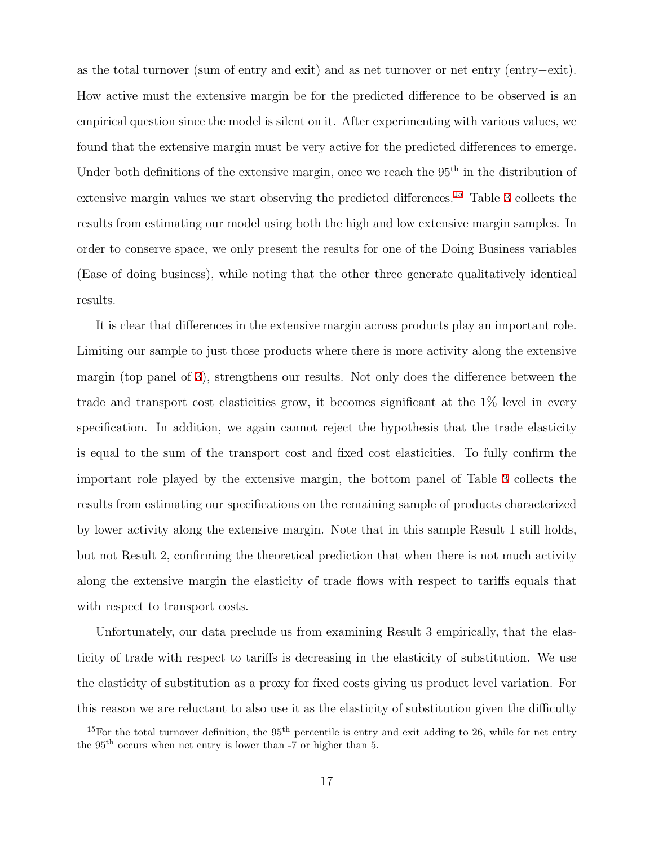as the total turnover (sum of entry and exit) and as net turnover or net entry (entry*−*exit). How active must the extensive margin be for the predicted difference to be observed is an empirical question since the model is silent on it. After experimenting with various values, we found that the extensive margin must be very active for the predicted differences to emerge. Under both definitions of the extensive margin, once we reach the 95<sup>th</sup> in the distribution of extensive margin values we start observing the predicted differences.[15](#page-16-0) Table [3](#page-17-0) collects the results from estimating our model using both the high and low extensive margin samples. In order to conserve space, we only present the results for one of the Doing Business variables (Ease of doing business), while noting that the other three generate qualitatively identical results.

It is clear that differences in the extensive margin across products play an important role. Limiting our sample to just those products where there is more activity along the extensive margin (top panel of [3](#page-17-0)), strengthens our results. Not only does the difference between the trade and transport cost elasticities grow, it becomes significant at the 1% level in every specification. In addition, we again cannot reject the hypothesis that the trade elasticity is equal to the sum of the transport cost and fixed cost elasticities. To fully confirm the important role played by the extensive margin, the bottom panel of Table [3](#page-17-0) collects the results from estimating our specifications on the remaining sample of products characterized by lower activity along the extensive margin. Note that in this sample Result 1 still holds, but not Result 2, confirming the theoretical prediction that when there is not much activity along the extensive margin the elasticity of trade flows with respect to tariffs equals that with respect to transport costs.

Unfortunately, our data preclude us from examining Result 3 empirically, that the elasticity of trade with respect to tariffs is decreasing in the elasticity of substitution. We use the elasticity of substitution as a proxy for fixed costs giving us product level variation. For this reason we are reluctant to also use it as the elasticity of substitution given the difficulty

<span id="page-16-0"></span><sup>&</sup>lt;sup>15</sup>For the total turnover definition, the  $95<sup>th</sup>$  percentile is entry and exit adding to 26, while for net entry the 95th occurs when net entry is lower than -7 or higher than 5.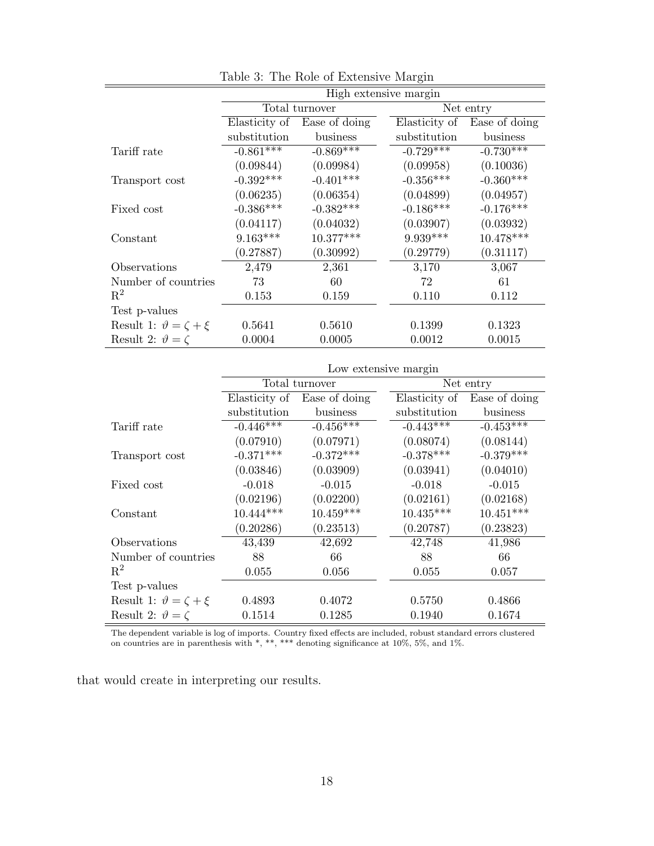|                                     | High extensive margin |                |               |               |  |  |
|-------------------------------------|-----------------------|----------------|---------------|---------------|--|--|
|                                     |                       | Total turnover | Net entry     |               |  |  |
|                                     | Elasticity of         | Ease of doing  | Elasticity of | Ease of doing |  |  |
|                                     | substitution          | business       | substitution  | business      |  |  |
| Tariff rate                         | $-0.861***$           | $-0.869***$    | $-0.729***$   | $-0.730***$   |  |  |
|                                     | (0.09844)             | (0.09984)      | (0.09958)     | (0.10036)     |  |  |
| Transport cost                      | $-0.392***$           | $-0.401***$    | $-0.356***$   | $-0.360***$   |  |  |
|                                     | (0.06235)             | (0.06354)      | (0.04899)     | (0.04957)     |  |  |
| Fixed cost                          | $-0.386***$           | $-0.382***$    | $-0.186***$   | $-0.176***$   |  |  |
|                                     | (0.04117)             | (0.04032)      | (0.03907)     | (0.03932)     |  |  |
| Constant                            | $9.163***$            | $10.377***$    | $9.939***$    | $10.478***$   |  |  |
|                                     | (0.27887)             | (0.30992)      | (0.29779)     | (0.31117)     |  |  |
| Observations                        | 2,479                 | 2,361          | 3,170         | 3,067         |  |  |
| Number of countries                 | 73                    | 60             | 72            | 61            |  |  |
| $\mathbf{R}^2$                      | 0.153                 | 0.159          | 0.110         | 0.112         |  |  |
| Test p-values                       |                       |                |               |               |  |  |
| Result 1: $\vartheta = \zeta + \xi$ | 0.5641                | 0.5610         | 0.1399        | 0.1323        |  |  |
| Result 2: $\vartheta = \zeta$       | 0.0004                | 0.0005         | 0.0012        | 0.0015        |  |  |

<span id="page-17-0"></span>Table 3: The Role of Extensive Margin

|                                     | Low extensive margin |                |                        |               |  |
|-------------------------------------|----------------------|----------------|------------------------|---------------|--|
|                                     |                      | Total turnover |                        | Net entry     |  |
|                                     | Elasticity of        | Ease of doing  | Elasticity of          | Ease of doing |  |
|                                     | substitution         | business       | substitution           | business      |  |
| Tariff rate                         | $-0.446***$          | $-0.456***$    | $-0.44\overline{3***}$ | $-0.453***$   |  |
|                                     | (0.07910)            | (0.07971)      | (0.08074)              | (0.08144)     |  |
| Transport cost                      | $-0.371***$          | $-0.372***$    | $-0.378***$            | $-0.379***$   |  |
|                                     | (0.03846)            | (0.03909)      | (0.03941)              | (0.04010)     |  |
| Fixed cost                          | $-0.018$             | $-0.015$       | $-0.018$               | $-0.015$      |  |
|                                     | (0.02196)            | (0.02200)      | (0.02161)              | (0.02168)     |  |
| Constant                            | $10.444***$          | $10.459***$    | $10.435***$            | $10.451***$   |  |
|                                     | (0.20286)            | (0.23513)      | (0.20787)              | (0.23823)     |  |
| Observations                        | 43,439               | 42,692         | 42,748                 | 41,986        |  |
| Number of countries                 | 88                   | 66             | 88                     | 66            |  |
| $\mathbf{R}^2$                      | 0.055                | 0.056          | 0.055                  | 0.057         |  |
| Test p-values                       |                      |                |                        |               |  |
| Result 1: $\vartheta = \zeta + \xi$ | 0.4893               | 0.4072         | 0.5750                 | 0.4866        |  |
| Result 2: $\vartheta = \zeta$       | 0.1514               | 0.1285         | 0.1940                 | 0.1674        |  |

The dependent variable is log of imports. Country fixed effects are included, robust standard errors clustered on countries are in parenthesis with \*, \*\*, \*\*\* denoting significance at 10%, 5%, and 1%.

that would create in interpreting our results.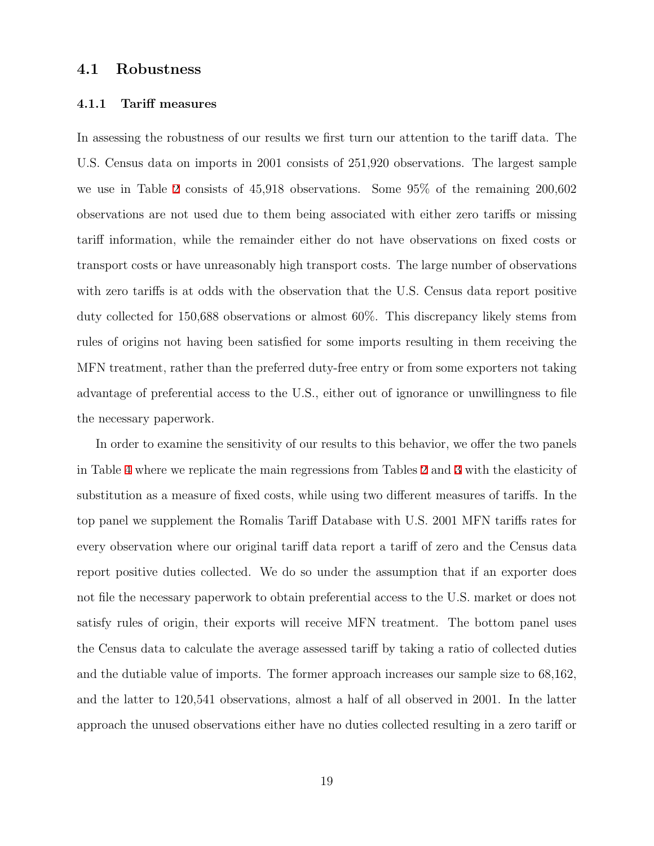#### **4.1 Robustness**

#### **4.1.1 Tariff measures**

In assessing the robustness of our results we first turn our attention to the tariff data. The U.S. Census data on imports in 2001 consists of 251,920 observations. The largest sample we use in Table [2](#page-15-0) consists of 45,918 observations. Some 95% of the remaining 200,602 observations are not used due to them being associated with either zero tariffs or missing tariff information, while the remainder either do not have observations on fixed costs or transport costs or have unreasonably high transport costs. The large number of observations with zero tariffs is at odds with the observation that the U.S. Census data report positive duty collected for 150,688 observations or almost 60%. This discrepancy likely stems from rules of origins not having been satisfied for some imports resulting in them receiving the MFN treatment, rather than the preferred duty-free entry or from some exporters not taking advantage of preferential access to the U.S., either out of ignorance or unwillingness to file the necessary paperwork.

In order to examine the sensitivity of our results to this behavior, we offer the two panels in Table [4](#page-19-0) where we replicate the main regressions from Tables [2](#page-15-0) and [3](#page-17-0) with the elasticity of substitution as a measure of fixed costs, while using two different measures of tariffs. In the top panel we supplement the Romalis Tariff Database with U.S. 2001 MFN tariffs rates for every observation where our original tariff data report a tariff of zero and the Census data report positive duties collected. We do so under the assumption that if an exporter does not file the necessary paperwork to obtain preferential access to the U.S. market or does not satisfy rules of origin, their exports will receive MFN treatment. The bottom panel uses the Census data to calculate the average assessed tariff by taking a ratio of collected duties and the dutiable value of imports. The former approach increases our sample size to 68,162, and the latter to 120,541 observations, almost a half of all observed in 2001. In the latter approach the unused observations either have no duties collected resulting in a zero tariff or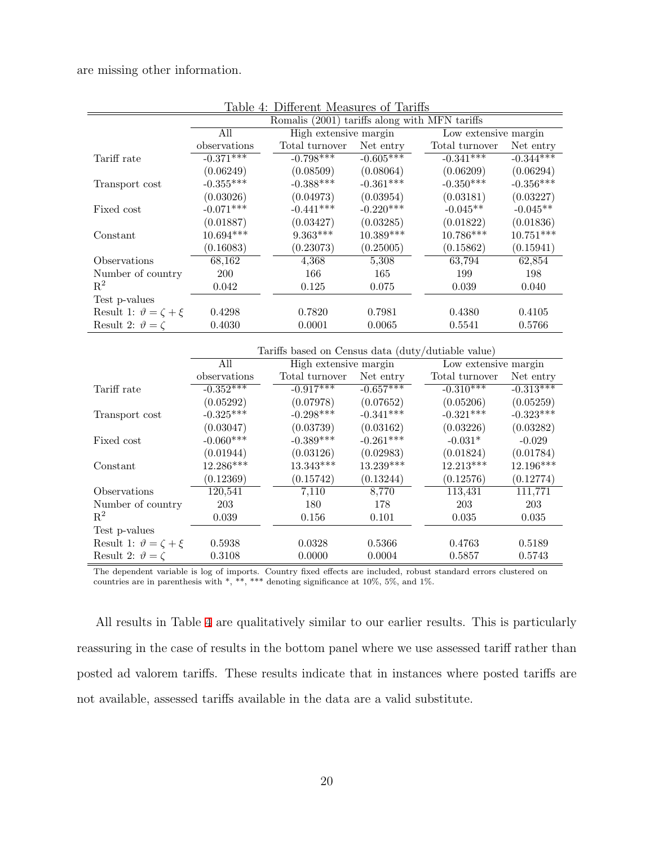are missing other information.

<span id="page-19-0"></span>

| Table 4: Different Measures of Tariffs        |              |                        |             |                |                      |  |
|-----------------------------------------------|--------------|------------------------|-------------|----------------|----------------------|--|
| Romalis (2001) tariffs along with MFN tariffs |              |                        |             |                |                      |  |
|                                               | All          | High extensive margin  |             |                | Low extensive margin |  |
|                                               | observations | Total turnover         | Net entry   | Total turnover | Net entry            |  |
| Tariff rate                                   | $-0.371***$  | $-0.798***$            | $-0.605***$ | $-0.341***$    | $-0.344***$          |  |
|                                               | (0.06249)    | (0.08509)              | (0.08064)   | (0.06209)      | (0.06294)            |  |
| Transport cost                                | $-0.355***$  | $-0.388***$            | $-0.361***$ | $-0.350***$    | $-0.356***$          |  |
|                                               | (0.03026)    | (0.04973)              | (0.03954)   | (0.03181)      | (0.03227)            |  |
| Fixed cost                                    | $-0.071***$  | $-0.441***$            | $-0.220***$ | $-0.045**$     | $-0.045**$           |  |
|                                               | (0.01887)    | (0.03427)              | (0.03285)   | (0.01822)      | (0.01836)            |  |
| Constant                                      | $10.694***$  | $9.363^{\ast\ast\ast}$ | $10.389***$ | $10.786***$    | $10.751***$          |  |
|                                               | (0.16083)    | (0.23073)              | (0.25005)   | (0.15862)      | (0.15941)            |  |
| Observations                                  | 68,162       | 4,368                  | 5,308       | 63,794         | 62,854               |  |
| Number of country                             | <b>200</b>   | 166                    | 165         | 199            | 198                  |  |
| $R^2$                                         | 0.042        | 0.125                  | 0.075       | 0.039          | 0.040                |  |
| Test p-values                                 |              |                        |             |                |                      |  |
| Result 1: $\vartheta = \zeta + \xi$           | 0.4298       | 0.7820                 | 0.7981      | 0.4380         | 0.4105               |  |
| Result 2: $\vartheta = \zeta$                 | 0.4030       | 0.0001                 | 0.0065      | 0.5541         | 0.5766               |  |

| Test p-values                       |              |                                                    |             |                      |             |
|-------------------------------------|--------------|----------------------------------------------------|-------------|----------------------|-------------|
| Result 1: $\vartheta = \zeta + \xi$ | 0.4298       | 0.7820                                             | 0.7981      | 0.4380               | 0.4105      |
| Result 2: $\vartheta = \zeta$       | 0.4030       | 0.0001                                             | 0.0065      | 0.5541               | 0.5766      |
|                                     |              |                                                    |             |                      |             |
|                                     |              | Tariffs based on Census data (duty/dutiable value) |             |                      |             |
|                                     | All          | High extensive margin                              |             | Low extensive margin |             |
|                                     | observations | Total turnover                                     | Net entry   | Total turnover       | Net entry   |
| Tariff rate                         | $-0.352***$  | $-0.917***$                                        | $-0.657***$ | $-0.310***$          | $-0.313***$ |
|                                     | (0.05292)    | (0.07978)                                          | (0.07652)   | (0.05206)            | (0.05259)   |
| Transport cost                      | $-0.325***$  | $-0.298***$                                        | $-0.341***$ | $-0.321***$          | $-0.323***$ |
|                                     | (0.03047)    | (0.03739)                                          | (0.03162)   | (0.03226)            | (0.03282)   |
| Fixed cost                          | $-0.060***$  | $-0.389***$                                        | $-0.261***$ | $-0.031*$            | $-0.029$    |
|                                     | (0.01944)    | (0.03126)                                          | (0.02983)   | (0.01824)            | (0.01784)   |
| $\text{Constant}$                   | $12.286***$  | $13.343^{***}\,$                                   | $13.239***$ | 12.213***            | 12.196***   |
|                                     | (0.12369)    | (0.15742)                                          | (0.13244)   | (0.12576)            | (0.12774)   |
| Observations                        | 120,541      | 7,110                                              | 8,770       | 113,431              | 111,771     |
| Number of country                   | 203          | 180                                                | 178         | 203                  | 203         |
| $\mathrm{R}^2$                      | 0.039        | 0.156                                              | 0.101       | 0.035                | 0.035       |
| Test p-values                       |              |                                                    |             |                      |             |
| Result 1: $\vartheta = \zeta + \xi$ | 0.5938       | 0.0328                                             | 0.5366      | 0.4763               | 0.5189      |

Result 2:  $\vartheta = \zeta$  0.3108 0.0000 0.0004 0.5857 0.5743 The dependent variable is log of imports. Country fixed effects are included, robust standard errors clustered on countries are in parenthesis with \*, \*\*, \*\*\* denoting significance at 10%, 5%, and 1%.

All results in Table [4](#page-19-0) are qualitatively similar to our earlier results. This is particularly reassuring in the case of results in the bottom panel where we use assessed tariff rather than posted ad valorem tariffs. These results indicate that in instances where posted tariffs are not available, assessed tariffs available in the data are a valid substitute.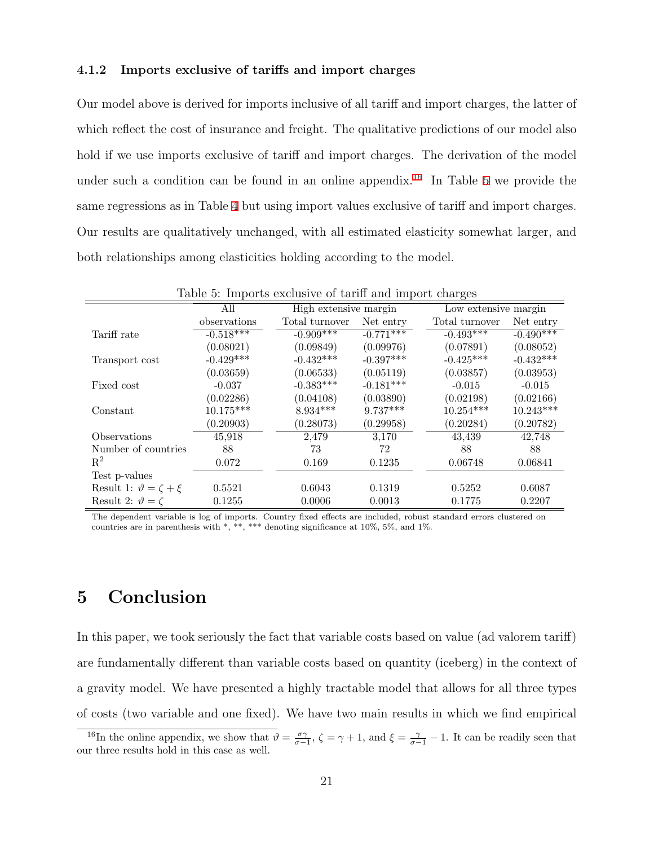#### **4.1.2 Imports exclusive of tariffs and import charges**

Our model above is derived for imports inclusive of all tariff and import charges, the latter of which reflect the cost of insurance and freight. The qualitative predictions of our model also hold if we use imports exclusive of tariff and import charges. The derivation of the model under such a condition can be found in an online appendix.<sup>[16](#page-20-1)</sup> In Table [5](#page-20-2) we provide the same regressions as in Table [4](#page-19-0) but using import values exclusive of tariff and import charges. Our results are qualitatively unchanged, with all estimated elasticity somewhat larger, and both relationships among elasticities holding according to the model.

<span id="page-20-2"></span>

| Table 5: Imports exclusive of tariff and import charges |              |                       |             |                      |             |  |
|---------------------------------------------------------|--------------|-----------------------|-------------|----------------------|-------------|--|
|                                                         | All          | High extensive margin |             | Low extensive margin |             |  |
|                                                         | observations | Total turnover        | Net entry   | Total turnover       | Net entry   |  |
| Tariff rate                                             | $-0.518***$  | $-0.909***$           | $-0.771***$ | $-0.493***$          | $-0.490***$ |  |
|                                                         | (0.08021)    | (0.09849)             | (0.09976)   | (0.07891)            | (0.08052)   |  |
| Transport cost                                          | $-0.429***$  | $-0.432***$           | $-0.397***$ | $-0.425***$          | $-0.432***$ |  |
|                                                         | (0.03659)    | (0.06533)             | (0.05119)   | (0.03857)            | (0.03953)   |  |
| Fixed cost                                              | $-0.037$     | $-0.383***$           | $-0.181***$ | $-0.015$             | $-0.015$    |  |
|                                                         | (0.02286)    | (0.04108)             | (0.03890)   | (0.02198)            | (0.02166)   |  |
| Constant                                                | $10.175***$  | $8.934***$            | $9.737***$  | $10.254***$          | $10.243***$ |  |
|                                                         | (0.20903)    | (0.28073)             | (0.29958)   | (0.20284)            | (0.20782)   |  |
| Observations                                            | 45,918       | 2,479                 | 3,170       | 43,439               | 42,748      |  |
| Number of countries                                     | 88           | 73                    | 72          | 88                   | 88          |  |
| $R^2$                                                   | 0.072        | 0.169                 | 0.1235      | 0.06748              | 0.06841     |  |
| Test p-values                                           |              |                       |             |                      |             |  |
| Result 1: $\vartheta = \zeta + \xi$                     | 0.5521       | 0.6043                | 0.1319      | 0.5252               | 0.6087      |  |
| Result 2: $\vartheta = \zeta$                           | 0.1255       | 0.0006                | 0.0013      | 0.1775               | 0.2207      |  |

The dependent variable is log of imports. Country fixed effects are included, robust standard errors clustered on countries are in parenthesis with \*, \*\*, \*\*\* denoting significance at  $10\%$ , 5%, and 1%.

## <span id="page-20-0"></span>**5 Conclusion**

In this paper, we took seriously the fact that variable costs based on value (ad valorem tariff) are fundamentally different than variable costs based on quantity (iceberg) in the context of a gravity model. We have presented a highly tractable model that allows for all three types of costs (two variable and one fixed). We have two main results in which we find empirical

<span id="page-20-1"></span><sup>&</sup>lt;sup>16</sup>In the online appendix, we show that  $\vartheta = \frac{\sigma\gamma}{\sigma-1}$ ,  $\zeta = \gamma + 1$ , and  $\xi = \frac{\gamma}{\sigma-1} - 1$ . It can be readily seen that our three results hold in this case as well.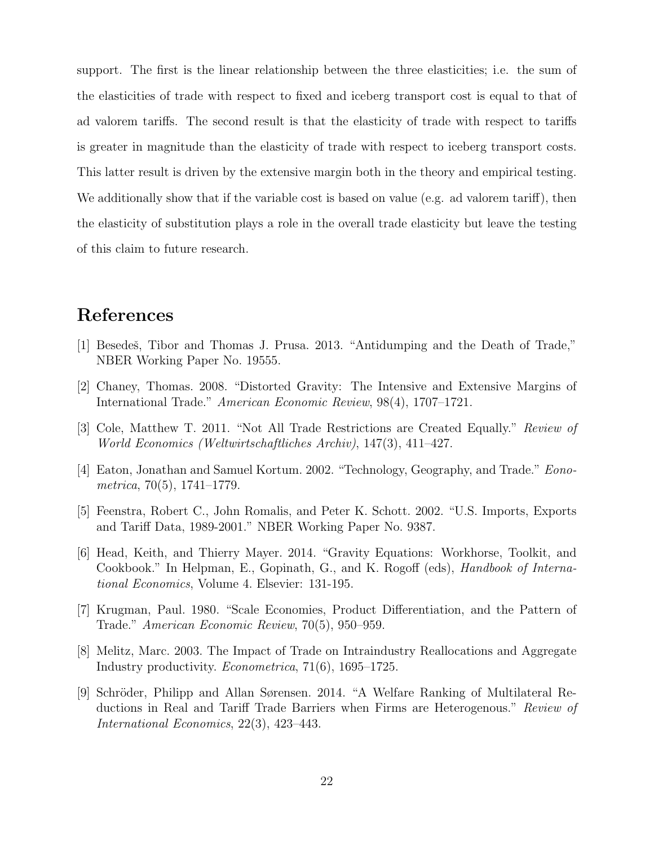support. The first is the linear relationship between the three elasticities; i.e. the sum of the elasticities of trade with respect to fixed and iceberg transport cost is equal to that of ad valorem tariffs. The second result is that the elasticity of trade with respect to tariffs is greater in magnitude than the elasticity of trade with respect to iceberg transport costs. This latter result is driven by the extensive margin both in the theory and empirical testing. We additionally show that if the variable cost is based on value (e.g. ad valorem tariff), then the elasticity of substitution plays a role in the overall trade elasticity but leave the testing of this claim to future research.

## **References**

- [1] Besedeš, Tibor and Thomas J. Prusa. 2013. "Antidumping and the Death of Trade," NBER Working Paper No. 19555.
- [2] Chaney, Thomas. 2008. "Distorted Gravity: The Intensive and Extensive Margins of International Trade." *American Economic Review*, 98(4), 1707–1721.
- [3] Cole, Matthew T. 2011. "Not All Trade Restrictions are Created Equally." *Review of World Economics (Weltwirtschaftliches Archiv)*, 147(3), 411–427.
- [4] Eaton, Jonathan and Samuel Kortum. 2002. "Technology, Geography, and Trade." *Eonometrica*, 70(5), 1741–1779.
- [5] Feenstra, Robert C., John Romalis, and Peter K. Schott. 2002. "U.S. Imports, Exports and Tariff Data, 1989-2001." NBER Working Paper No. 9387.
- [6] Head, Keith, and Thierry Mayer. 2014. "Gravity Equations: Workhorse, Toolkit, and Cookbook." In Helpman, E., Gopinath, G., and K. Rogoff (eds), *Handbook of International Economics*, Volume 4. Elsevier: 131-195.
- [7] Krugman, Paul. 1980. "Scale Economies, Product Differentiation, and the Pattern of Trade." *American Economic Review*, 70(5), 950–959.
- [8] Melitz, Marc. 2003. The Impact of Trade on Intraindustry Reallocations and Aggregate Industry productivity. *Econometrica*, 71(6), 1695–1725.
- [9] Schröder, Philipp and Allan Sørensen. 2014. "A Welfare Ranking of Multilateral Reductions in Real and Tariff Trade Barriers when Firms are Heterogenous." *Review of International Economics*, 22(3), 423–443.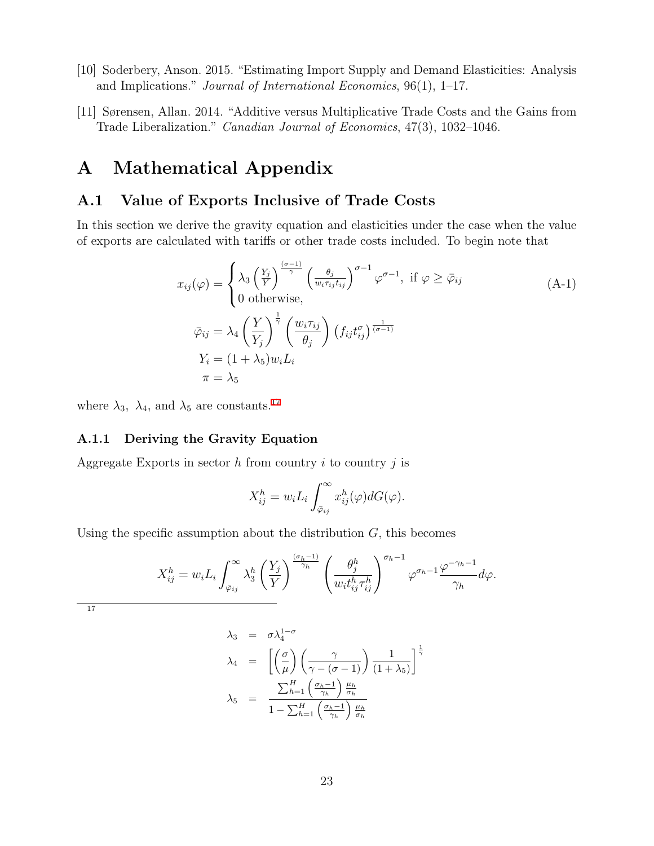- [10] Soderbery, Anson. 2015. "Estimating Import Supply and Demand Elasticities: Analysis and Implications." *Journal of International Economics*, 96(1), 1–17.
- [11] Sørensen, Allan. 2014. "Additive versus Multiplicative Trade Costs and the Gains from Trade Liberalization." *Canadian Journal of Economics*, 47(3), 1032–1046.

## **A Mathematical Appendix**

### **A.1 Value of Exports Inclusive of Trade Costs**

In this section we derive the gravity equation and elasticities under the case when the value of exports are calculated with tariffs or other trade costs included. To begin note that

$$
x_{ij}(\varphi) = \begin{cases} \lambda_3 \left(\frac{Y_j}{Y}\right)^{\frac{(\sigma-1)}{\gamma}} \left(\frac{\theta_j}{w_i \tau_{ij} t_{ij}}\right)^{\sigma-1} \varphi^{\sigma-1}, \text{ if } \varphi \ge \bar{\varphi}_{ij} \\ 0 \text{ otherwise,} \end{cases} \quad (\text{A-1})
$$
  

$$
\bar{\varphi}_{ij} = \lambda_4 \left(\frac{Y}{Y_j}\right)^{\frac{1}{\gamma}} \left(\frac{w_i \tau_{ij}}{\theta_j}\right) \left(f_{ij} t_{ij}^{\sigma}\right)^{\frac{1}{(\sigma-1)}} \\ Y_i = (1 + \lambda_5) w_i L_i \\ \pi = \lambda_5 \quad (\text{A-1})
$$

where  $\lambda_3$ ,  $\lambda_4$ , and  $\lambda_5$  are constants.<sup>[17](#page-22-0)</sup>

#### **A.1.1 Deriving the Gravity Equation**

Aggregate Exports in sector *h* from country *i* to country *j* is

<span id="page-22-1"></span>
$$
X_{ij}^h = w_i L_i \int_{\bar{\varphi}_{ij}}^{\infty} x_{ij}^h(\varphi) dG(\varphi).
$$

Using the specific assumption about the distribution  $G$ , this becomes

$$
X_{ij}^h = w_i L_i \int_{\bar{\varphi}_{ij}}^{\infty} \lambda_3^h \left(\frac{Y_j}{Y}\right)^{\frac{(\sigma_h - 1)}{\gamma_h}} \left(\frac{\theta_j^h}{w_i t_{ij}^h \tau_{ij}^h}\right)^{\sigma_h - 1} \varphi^{\sigma_h - 1} \frac{\varphi^{-\gamma_h - 1}}{\gamma_h} d\varphi.
$$

<span id="page-22-0"></span>17

$$
\lambda_3 = \sigma \lambda_4^{1-\sigma}
$$
\n
$$
\lambda_4 = \left[ \left( \frac{\sigma}{\mu} \right) \left( \frac{\gamma}{\gamma - (\sigma - 1)} \right) \frac{1}{(1 + \lambda_5)} \right]^{\frac{1}{\gamma}}
$$
\n
$$
\lambda_5 = \frac{\sum_{h=1}^H \left( \frac{\sigma_h - 1}{\gamma_h} \right) \frac{\mu_h}{\sigma_h}}{1 - \sum_{h=1}^H \left( \frac{\sigma_h - 1}{\gamma_h} \right) \frac{\mu_h}{\sigma_h}}
$$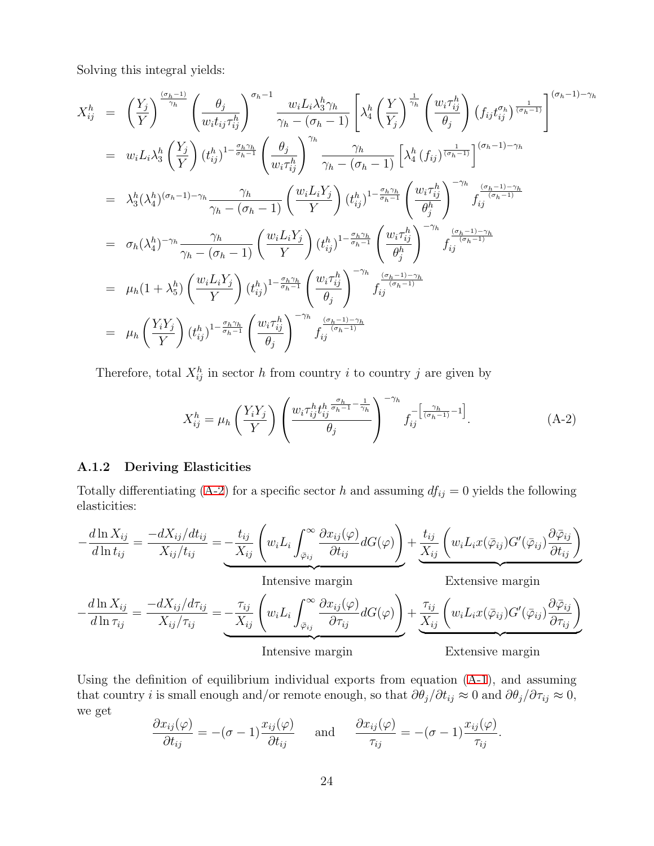Solving this integral yields:

$$
X_{ij}^{h} = \left(\frac{Y_{j}}{Y}\right)^{\frac{(\sigma_{h}-1)}{\gamma_{h}}} \left(\frac{\theta_{j}}{w_{i}t_{ij}\tau_{ij}^{h}}\right)^{\sigma_{h}-1} \frac{w_{i}L_{i}\lambda_{3}^{h}\gamma_{h}}{\gamma_{h}-(\sigma_{h}-1)} \left[\lambda_{4}^{h}\left(\frac{Y}{Y_{j}}\right)^{\frac{1}{\gamma_{h}}}\left(\frac{w_{i}\tau_{ij}^{h}}{\theta_{j}}\right) (f_{ij}t_{ij}^{\sigma_{h}})^{\frac{1}{(\sigma_{h}-1)}-\gamma_{h}}
$$
\n
$$
= w_{i}L_{i}\lambda_{3}^{h}\left(\frac{Y_{j}}{Y}\right) (t_{ij}^{h})^{1-\frac{\sigma_{h}\gamma_{h}}{\sigma_{h}-1}}\left(\frac{\theta_{j}}{w_{i}\tau_{ij}^{h}}\right)^{\gamma_{h}} \frac{\gamma_{h}}{\gamma_{h}-(\sigma_{h}-1)} \left[\lambda_{4}^{h}\left(f_{ij}\right)^{\frac{1}{(\sigma_{h}-1)}}\right]^{\left(\sigma_{h}-1\right)-\gamma_{h}}
$$
\n
$$
= \lambda_{3}^{h}\left(\lambda_{4}^{h}\right)^{(\sigma_{h}-1)-\gamma_{h}} \frac{\gamma_{h}}{\gamma_{h}-(\sigma_{h}-1)} \left(\frac{w_{i}L_{i}Y_{j}}{Y}\right) (t_{ij}^{h})^{1-\frac{\sigma_{h}\gamma_{h}}{\sigma_{h}-1}}\left(\frac{w_{i}\tau_{ij}^{h}}{\theta_{j}^{h}}\right)^{-\gamma_{h}} f_{ij}^{\frac{(\sigma_{h}-1)-\gamma_{h}}{(\sigma_{h}-1)}}
$$
\n
$$
= \sigma_{h}\left(\lambda_{4}^{h}\right)^{-\gamma_{h}} \frac{\gamma_{h}}{\gamma_{h}-(\sigma_{h}-1)} \left(\frac{w_{i}L_{i}Y_{j}}{Y}\right) (t_{ij}^{h})^{1-\frac{\sigma_{h}\gamma_{h}}{\sigma_{h}-1}}\left(\frac{w_{i}\tau_{ij}^{h}}{\theta_{j}^{h}}\right)^{-\gamma_{h}} f_{ij}^{\frac{(\sigma_{h}-1)-\gamma_{h}}{(\sigma_{h}-1)}}
$$
\n
$$
= \mu_{h}\left(1+\lambda_{5}^{h}\right) \left(\frac{w_{i}L_{i}Y_{j}}{Y}\right) (t_{ij}^{h})^{1-\
$$

Therefore, total  $X_{ij}^h$  in sector *h* from country *i* to country *j* are given by

<span id="page-23-0"></span>
$$
X_{ij}^h = \mu_h \left(\frac{Y_i Y_j}{Y}\right) \left(\frac{w_i \tau_{ij}^h t_{ij}^h \frac{\sigma_h}{\sigma_h - 1} - \frac{1}{\gamma_h}}{\theta_j}\right)^{-\gamma_h} f_{ij}^{-\left[\frac{\gamma_h}{(\sigma_h - 1)} - 1\right]}.
$$
 (A-2)

#### **A.1.2 Deriving Elasticities**

Totally differentiating [\(A-2\)](#page-23-0) for a specific sector *h* and assuming  $df_{ij} = 0$  yields the following elasticities:

$$
-\frac{d\ln X_{ij}}{d\ln t_{ij}} = \frac{-dX_{ij}/dt_{ij}}{X_{ij}/t_{ij}} = -\frac{t_{ij}}{X_{ij}} \left( w_i L_i \int_{\bar{\varphi}_{ij}}^{\infty} \frac{\partial x_{ij}(\varphi)}{\partial t_{ij}} dG(\varphi) \right) + \frac{t_{ij}}{X_{ij}} \left( w_i L_i x(\bar{\varphi}_{ij}) G'(\bar{\varphi}_{ij}) \frac{\partial \bar{\varphi}_{ij}}{\partial t_{ij}} \right)
$$
  
Intensive margin  

$$
-\frac{d\ln X_{ij}}{d\ln \tau_{ij}} = \frac{-dX_{ij}/d\tau_{ij}}{X_{ij}/\tau_{ij}} = -\frac{\tau_{ij}}{X_{ij}} \left( w_i L_i \int_{\bar{\varphi}_{ij}}^{\infty} \frac{\partial x_{ij}(\varphi)}{\partial \tau_{ij}} dG(\varphi) \right) + \frac{\tau_{ij}}{X_{ij}} \left( w_i L_i x(\bar{\varphi}_{ij}) G'(\bar{\varphi}_{ij}) \frac{\partial \bar{\varphi}_{ij}}{\partial \tau_{ij}} \right)
$$
  
Intensive margin  
Extensive margin  
Extensive margin

Using the definition of equilibrium individual exports from equation ([A-1](#page-22-1)), and assuming that country *i* is small enough and/or remote enough, so that  $\partial \theta_j / \partial t_{ij} \approx 0$  and  $\partial \theta_j / \partial \tau_{ij} \approx 0$ , we get

$$
\frac{\partial x_{ij}(\varphi)}{\partial t_{ij}} = -(\sigma - 1) \frac{x_{ij}(\varphi)}{\partial t_{ij}} \quad \text{and} \quad \frac{\partial x_{ij}(\varphi)}{\tau_{ij}} = -(\sigma - 1) \frac{x_{ij}(\varphi)}{\tau_{ij}}.
$$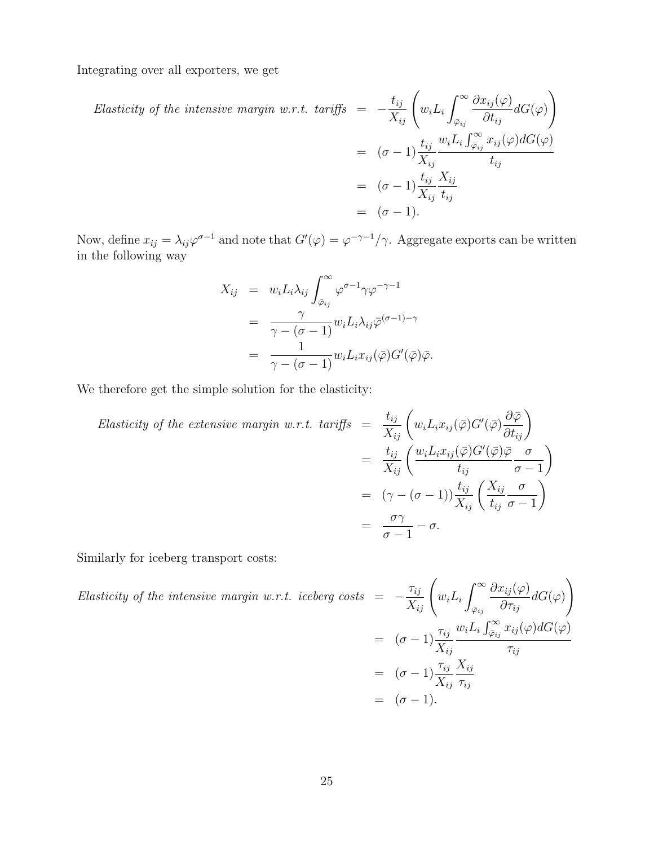Integrating over all exporters, we get

*Elasticity of the intensive margin w.r.t. tariffs* = *−*  $\frac{t_{ij}}{X_{ij}}$  $w_i L_i \int_0^\infty$  $\bar{\varphi}_{ij}$ *∂xij* (*φ*) *∂tij dG*(*φ*)

$$
= (\sigma - 1) \frac{t_{ij}}{X_{ij}} \frac{w_i L_i \int_{\tilde{\varphi}_{ij}}^{\infty} x_{ij}(\varphi) dG(\varphi)}{t_{ij}}
$$
  

$$
= (\sigma - 1) \frac{t_{ij}}{X_{ij}} \frac{X_{ij}}{t_{ij}}
$$
  

$$
= (\sigma - 1).
$$

 $\setminus$ 

Now, define  $x_{ij} = \lambda_{ij} \varphi^{\sigma-1}$  and note that  $G'(\varphi) = \varphi^{-\gamma-1}/\gamma$ . Aggregate exports can be written in the following way

$$
X_{ij} = w_i L_i \lambda_{ij} \int_{\bar{\varphi}_{ij}}^{\infty} \varphi^{\sigma - 1} \gamma \varphi^{-\gamma - 1}
$$
  
= 
$$
\frac{\gamma}{\gamma - (\sigma - 1)} w_i L_i \lambda_{ij} \bar{\varphi}^{(\sigma - 1) - \gamma}
$$
  
= 
$$
\frac{1}{\gamma - (\sigma - 1)} w_i L_i x_{ij} (\bar{\varphi}) G'(\bar{\varphi}) \bar{\varphi}.
$$

We therefore get the simple solution for the elasticity:

*Elasticity of the extensive margin w.r.t. tariffs* = *tij <sup>X</sup>ij* ( *wiLixij* ( ¯*φ*)*G ′* ( ¯*φ*) *∂φ*¯ *∂tij* ) = *tij <sup>X</sup>ij* ( *wiLixij* ( ¯*φ*)*G′* ( ¯*φ*) ¯*φ tij σ σ −* 1 ) = (*<sup>γ</sup> <sup>−</sup>* (*<sup>σ</sup> <sup>−</sup>* 1)) *<sup>t</sup>ij <sup>X</sup>ij* ( *Xij tij σ σ −* 1 ) = *σγ σ −* 1 *− σ.*

Similarly for iceberg transport costs:

*Elasticity of the intensive margin w.r.t. iceberg costs* 

$$
= -\frac{\tau_{ij}}{X_{ij}} \left( w_i L_i \int_{\bar{\varphi}_{ij}}^{\infty} \frac{\partial x_{ij}(\varphi)}{\partial \tau_{ij}} dG(\varphi) \right)
$$
  

$$
= (\sigma - 1) \frac{\tau_{ij}}{X_{ij}} \frac{w_i L_i \int_{\bar{\varphi}_{ij}}^{\infty} x_{ij}(\varphi) dG(\varphi)}{\tau_{ij}}
$$
  

$$
= (\sigma - 1) \frac{\tau_{ij}}{X_{ij}} \frac{X_{ij}}{\tau_{ij}}
$$
  

$$
= (\sigma - 1).
$$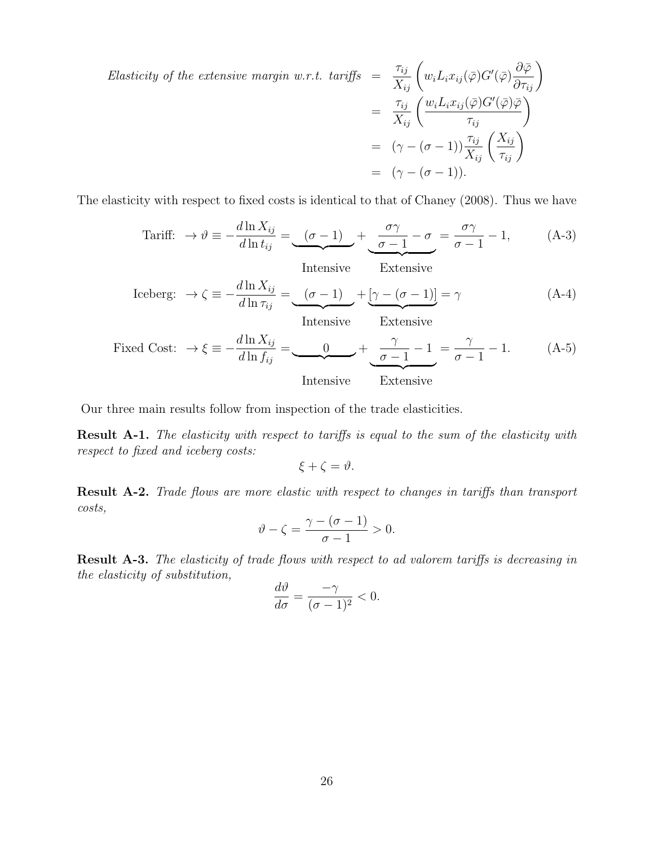*Elasticity of the extensive margin w.r.t. tariffs* =  $\frac{\tau_{ij}}{X_{ij}}\left(w_i L_i x_{ij}(\bar{\varphi}) G'(\bar{\varphi})\right)$  $\frac{\partial \bar{\varphi}}{\partial \tau_{ij}}\bigg)$  $= \frac{\tau_{ij}}{X_{ij}} \left( \frac{w_i L_i x_{ij}(\bar{\varphi}) G'(\bar{\varphi}) \bar{\varphi}}{\tau_{ij}} \right)$  $= (\gamma - (\sigma - 1)) \frac{\tau_{ij}}{X_{ij}} \left( \frac{X_{ij}}{\tau_{ij}} \right)$  $= (\gamma - (\sigma - 1)).$ 

The elasticity with respect to fixed costs is identical to that of Chaney (2008). Thus we have

Tariff: 
$$
\rightarrow \vartheta \equiv -\frac{d \ln X_{ij}}{d \ln t_{ij}} = \underbrace{(\sigma - 1)}_{\text{I}} + \underbrace{\frac{\sigma \gamma}{\sigma - 1} - \sigma}_{\text{I}} = \frac{\sigma \gamma}{\sigma - 1} - 1,
$$
 (A-3)

Intensive Extensive

Iceberg: 
$$
\rightarrow \zeta \equiv -\frac{d \ln X_{ij}}{d \ln \tau_{ij}} = \underbrace{(\sigma - 1)}_{\text{I}} + \underbrace{[\gamma - (\sigma - 1)]}_{\text{I}} = \gamma
$$
 (A-4)

Intensive Intensive Extensive

Fixed Cost: 
$$
\rightarrow \xi \equiv -\frac{d \ln X_{ij}}{d \ln f_{ij}} = \underbrace{0}_{\underbrace{\sigma-1}} + \underbrace{\frac{\gamma}{\sigma-1} - 1}_{\underbrace{\sigma-1}} = \frac{\gamma}{\sigma-1} - 1.
$$
 (A-5)  
Intensive  
Extensive

Our three main results follow from inspection of the trade elasticities.

**Result A-1.** *The elasticity with respect to tariffs is equal to the sum of the elasticity with respect to fixed and iceberg costs:*

$$
\xi + \zeta = \vartheta.
$$

**Result A-2.** *Trade flows are more elastic with respect to changes in tariffs than transport costs,*

$$
\vartheta - \zeta = \frac{\gamma - (\sigma - 1)}{\sigma - 1} > 0.
$$

**Result A-3.** *The elasticity of trade flows with respect to ad valorem tariffs is decreasing in the elasticity of substitution,*

$$
\frac{d\vartheta}{d\sigma} = \frac{-\gamma}{(\sigma - 1)^2} < 0.
$$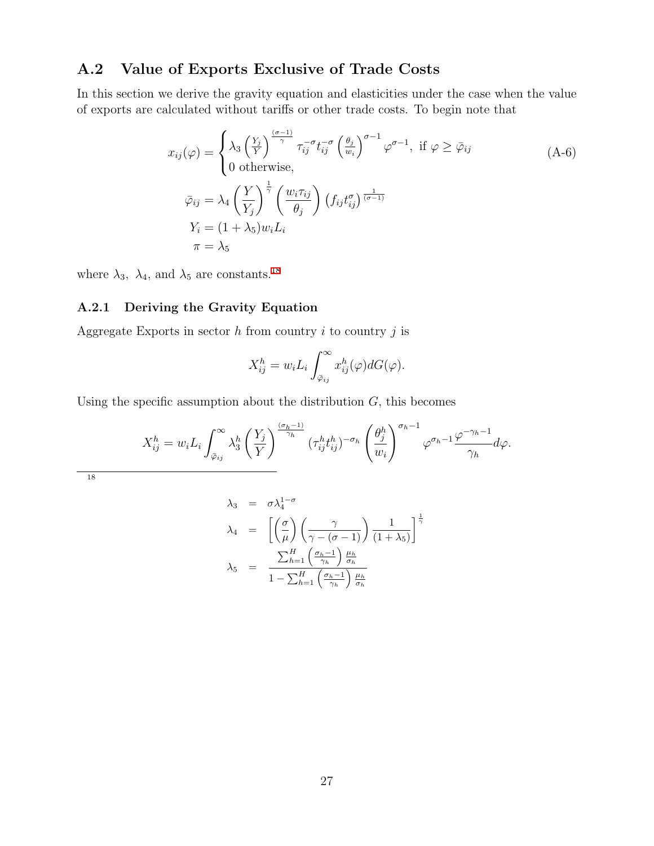### **A.2 Value of Exports Exclusive of Trade Costs**

In this section we derive the gravity equation and elasticities under the case when the value of exports are calculated without tariffs or other trade costs. To begin note that

$$
x_{ij}(\varphi) = \begin{cases} \lambda_3 \left(\frac{Y_j}{Y}\right)^{\frac{(\sigma-1)}{\gamma}} \tau_{ij}^{-\sigma} t_{ij}^{-\sigma} \left(\frac{\theta_j}{w_i}\right)^{\sigma-1} \varphi^{\sigma-1}, \text{ if } \varphi \ge \bar{\varphi}_{ij} \\ 0 \text{ otherwise,} \end{cases} \quad (\text{A-6})
$$
  

$$
\bar{\varphi}_{ij} = \lambda_4 \left(\frac{Y}{Y_j}\right)^{\frac{1}{\gamma}} \left(\frac{w_i \tau_{ij}}{\theta_j}\right) \left(f_{ij} t_{ij}^{\sigma}\right)^{\frac{1}{(\sigma-1)}}
$$
  

$$
Y_i = (1 + \lambda_5) w_i L_i
$$
  

$$
\pi = \lambda_5
$$

where  $\lambda_3$ ,  $\lambda_4$ , and  $\lambda_5$  are constants.<sup>[18](#page-26-0)</sup>

#### **A.2.1 Deriving the Gravity Equation**

Aggregate Exports in sector *h* from country *i* to country *j* is

<span id="page-26-1"></span>
$$
X_{ij}^h = w_i L_i \int_{\bar{\varphi}_{ij}}^{\infty} x_{ij}^h(\varphi) dG(\varphi).
$$

Using the specific assumption about the distribution  $G$ , this becomes

$$
X_{ij}^h = w_i L_i \int_{\bar{\varphi}_{ij}}^{\infty} \lambda_3^h \left(\frac{Y_j}{Y}\right)^{\frac{(\sigma_h - 1)}{\gamma_h}} (\tau_{ij}^h t_{ij}^h)^{-\sigma_h} \left(\frac{\theta_j^h}{w_i}\right)^{\sigma_h - 1} \varphi^{\sigma_h - 1} \frac{\varphi^{-\gamma_h - 1}}{\gamma_h} d\varphi.
$$

<span id="page-26-0"></span>18

$$
\lambda_3 = \sigma \lambda_4^{1-\sigma}
$$
\n
$$
\lambda_4 = \left[ \left( \frac{\sigma}{\mu} \right) \left( \frac{\gamma}{\gamma - (\sigma - 1)} \right) \frac{1}{(1 + \lambda_5)} \right]^{\frac{1}{\gamma}}
$$
\n
$$
\lambda_5 = \frac{\sum_{h=1}^H \left( \frac{\sigma_h - 1}{\gamma_h} \right) \frac{\mu_h}{\sigma_h}}{1 - \sum_{h=1}^H \left( \frac{\sigma_h - 1}{\gamma_h} \right) \frac{\mu_h}{\sigma_h}}
$$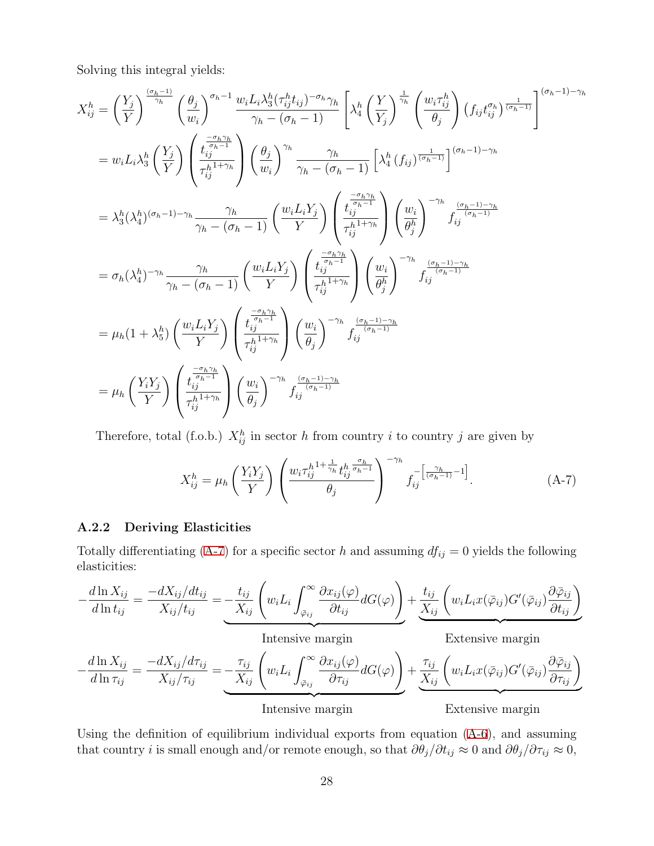Solving this integral yields:

$$
X_{ij}^{h} = \left(\frac{Y_{j}}{Y}\right)^{\frac{(\sigma_{h}-1)}{\gamma_{h}}} \left(\frac{\theta_{j}}{w_{i}}\right)^{\sigma_{h}-1} \frac{w_{i}L_{i}\lambda_{3}^{h}(\tau_{ij}^{h}t_{ij})^{-\sigma_{h}}\gamma_{h}}{\gamma_{h}-(\sigma_{h}-1)} \left[\lambda_{4}^{h}\left(\frac{Y}{Y_{j}}\right)^{\frac{1}{\gamma_{h}}}\left(\frac{w_{i}\tau_{ij}^{h}}{\theta_{j}}\right)(f_{ij}t_{ij}^{\sigma_{h}})^{\frac{1}{(\sigma_{h}-1)-\gamma_{h}}}\right]
$$
  
\n
$$
= w_{i}L_{i}\lambda_{3}^{h}\left(\frac{Y_{j}}{Y}\right)\left(\frac{t_{ij}^{\frac{-\sigma_{h}\gamma_{h}}{\sigma_{h}-1}}}{\tau_{ij}^{h}+\gamma_{h}}\right)\left(\frac{\theta_{j}}{w_{i}}\right)^{\gamma_{h}} \frac{\gamma_{h}}{\gamma_{h}-(\sigma_{h}-1)} \left[\lambda_{4}^{h}\left(f_{ij}\right)^{\frac{1}{(\sigma_{h}-1)}}\right]^{(\sigma_{h}-1)-\gamma_{h}}\right]
$$
  
\n
$$
= \lambda_{3}^{h}(\lambda_{4}^{h})^{(\sigma_{h}-1)-\gamma_{h}} \frac{\gamma_{h}}{\gamma_{h}-(\sigma_{h}-1)} \left(\frac{w_{i}L_{i}Y_{j}}{Y}\right)\left(\frac{t_{ij}^{\frac{-\sigma_{h}\gamma_{h}}{\sigma_{h}-1}}}{\tau_{ij}^{h}+\gamma_{h}}\right)\left(\frac{w_{i}}{\theta_{j}^{h}}\right)^{-\gamma_{h}} \frac{(\sigma_{h}-1)-\gamma_{h}}{f_{ij}^{(\sigma_{h}-1)}}
$$
  
\n
$$
= \sigma_{h}(\lambda_{4}^{h})^{-\gamma_{h}} \frac{\gamma_{h}}{\gamma_{h}-(\sigma_{h}-1)} \left(\frac{w_{i}L_{i}Y_{j}}{Y}\right)\left(\frac{t_{ij}^{\frac{-\sigma_{h}\gamma_{h}}{\sigma_{h}-1}}}{\tau_{ij}^{h}+\gamma_{h}}\right)\left(\frac{w_{i}}{\theta_{j}^{h}}\right)^{-\gamma_{h}} \frac{(\sigma_{h}-1)-\gamma_{h}}{f_{ij}^{(\sigma_{h}-1)}}
$$
  
\n
$$
= \mu_{h}(1+\lambda_{5}^{
$$

Therefore, total (f.o.b.)  $X_{ij}^h$  in sector *h* from country *i* to country *j* are given by

<span id="page-27-0"></span>
$$
X_{ij}^h = \mu_h \left(\frac{Y_i Y_j}{Y}\right) \left(\frac{w_i \tau_{ij}^{h1 + \frac{1}{\gamma_h}} t_{ij}^h \frac{\sigma_h}{\sigma_h - 1}}{\theta_j}\right)^{-\gamma_h} f_{ij}^{-\left[\frac{\gamma_h}{(\sigma_h - 1)} - 1\right]}.
$$
 (A-7)

#### **A.2.2 Deriving Elasticities**

Totally differentiating [\(A-7\)](#page-27-0) for a specific sector *h* and assuming  $df_{ij} = 0$  yields the following elasticities:

$$
-\frac{d\ln X_{ij}}{d\ln t_{ij}} = \frac{-dX_{ij}/dt_{ij}}{X_{ij}/t_{ij}} = -\frac{t_{ij}}{X_{ij}} \left( w_i L_i \int_{\bar{\varphi}_{ij}}^{\infty} \frac{\partial x_{ij}(\varphi)}{\partial t_{ij}} dG(\varphi) \right) + \frac{t_{ij}}{X_{ij}} \left( w_i L_i x(\bar{\varphi}_{ij}) G'(\bar{\varphi}_{ij}) \frac{\partial \bar{\varphi}_{ij}}{\partial t_{ij}} \right)
$$
  
Intensive margin  

$$
-\frac{d\ln X_{ij}}{d\ln \tau_{ij}} = \frac{-dX_{ij}/d\tau_{ij}}{X_{ij}/\tau_{ij}} = -\frac{\tau_{ij}}{X_{ij}} \left( w_i L_i \int_{\bar{\varphi}_{ij}}^{\infty} \frac{\partial x_{ij}(\varphi)}{\partial \tau_{ij}} dG(\varphi) \right) + \frac{\tau_{ij}}{X_{ij}} \left( w_i L_i x(\bar{\varphi}_{ij}) G'(\bar{\varphi}_{ij}) \frac{\partial \bar{\varphi}_{ij}}{\partial \tau_{ij}} \right)
$$
  
Intensive margin  
Extensive margin  
Extensive margin

Using the definition of equilibrium individual exports from equation ([A-6](#page-26-1)), and assuming that country *i* is small enough and/or remote enough, so that  $\partial \theta_j / \partial t_{ij} \approx 0$  and  $\partial \theta_j / \partial \tau_{ij} \approx 0$ ,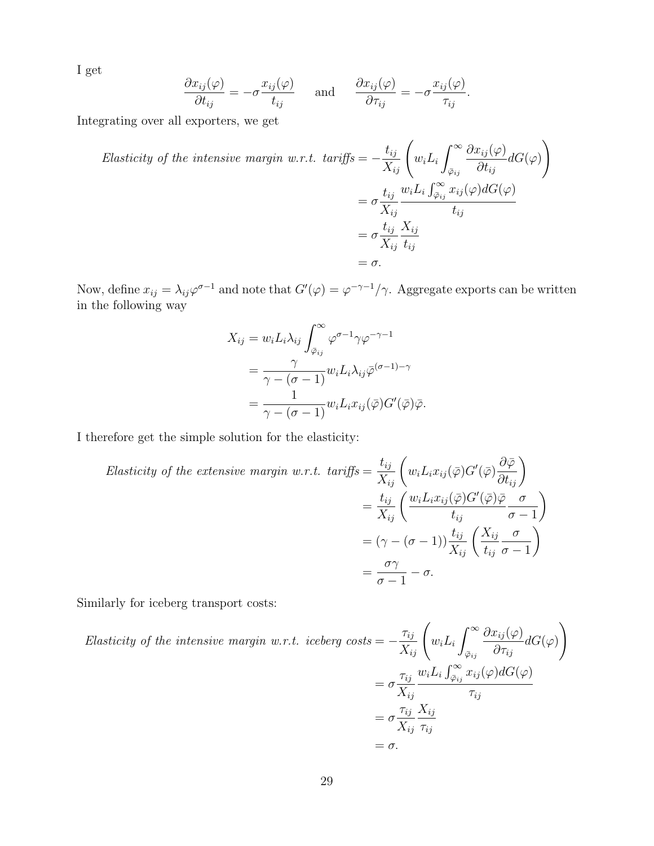I get

$$
\frac{\partial x_{ij}(\varphi)}{\partial t_{ij}} = -\sigma \frac{x_{ij}(\varphi)}{t_{ij}} \quad \text{and} \quad \frac{\partial x_{ij}(\varphi)}{\partial \tau_{ij}} = -\sigma \frac{x_{ij}(\varphi)}{\tau_{ij}}.
$$

Integrating over all exporters, we get

Elasticity of the intensive margin w.r.t. 
$$
tariffs = -\frac{t_{ij}}{X_{ij}} \left( w_i L_i \int_{\tilde{\varphi}_{ij}}^{\infty} \frac{\partial x_{ij}(\varphi)}{\partial t_{ij}} dG(\varphi) \right)
$$

$$
= \sigma \frac{t_{ij}}{X_{ij}} \frac{w_i L_i \int_{\tilde{\varphi}_{ij}}^{\infty} x_{ij}(\varphi) dG(\varphi)}{t_{ij}}
$$

$$
= \sigma \frac{t_{ij}}{X_{ij}} \frac{X_{ij}}{t_{ij}}
$$

$$
= \sigma.
$$

Now, define  $x_{ij} = \lambda_{ij} \varphi^{\sigma-1}$  and note that  $G'(\varphi) = \varphi^{-\gamma-1}/\gamma$ . Aggregate exports can be written in the following way

$$
X_{ij} = w_i L_i \lambda_{ij} \int_{\bar{\varphi}_{ij}}^{\infty} \varphi^{\sigma - 1} \gamma \varphi^{-\gamma - 1}
$$
  
= 
$$
\frac{\gamma}{\gamma - (\sigma - 1)} w_i L_i \lambda_{ij} \bar{\varphi}^{(\sigma - 1) - \gamma}
$$
  
= 
$$
\frac{1}{\gamma - (\sigma - 1)} w_i L_i x_{ij} (\bar{\varphi}) G'(\bar{\varphi}) \bar{\varphi}.
$$

I therefore get the simple solution for the elasticity:

Elasticity of the extensive margin w.r.t. 
$$
tariffs = \frac{t_{ij}}{X_{ij}} \left( w_i L_i x_{ij}(\bar{\varphi}) G'(\bar{\varphi}) \frac{\partial \bar{\varphi}}{\partial t_{ij}} \right)
$$

$$
= \frac{t_{ij}}{X_{ij}} \left( \frac{w_i L_i x_{ij}(\bar{\varphi}) G'(\bar{\varphi}) \bar{\varphi}}{t_{ij}} \frac{\sigma}{\sigma - 1} \right)
$$

$$
= (\gamma - (\sigma - 1)) \frac{t_{ij}}{X_{ij}} \left( \frac{X_{ij}}{t_{ij}} \frac{\sigma}{\sigma - 1} \right)
$$

$$
= \frac{\sigma \gamma}{\sigma - 1} - \sigma.
$$

Similarly for iceberg transport costs:

Elasticity of the intensive margin w.r.t. iceberg costs = 
$$
-\frac{\tau_{ij}}{X_{ij}} \left( w_i L_i \int_{\bar{\varphi}_{ij}}^{\infty} \frac{\partial x_{ij}(\varphi)}{\partial \tau_{ij}} dG(\varphi) \right)
$$

$$
= \sigma \frac{\tau_{ij}}{X_{ij}} \frac{w_i L_i \int_{\bar{\varphi}_{ij}}^{\infty} x_{ij}(\varphi) dG(\varphi)}{\tau_{ij}}
$$

$$
= \sigma \frac{\tau_{ij}}{X_{ij}} \frac{X_{ij}}{\tau_{ij}}
$$

$$
= \sigma.
$$